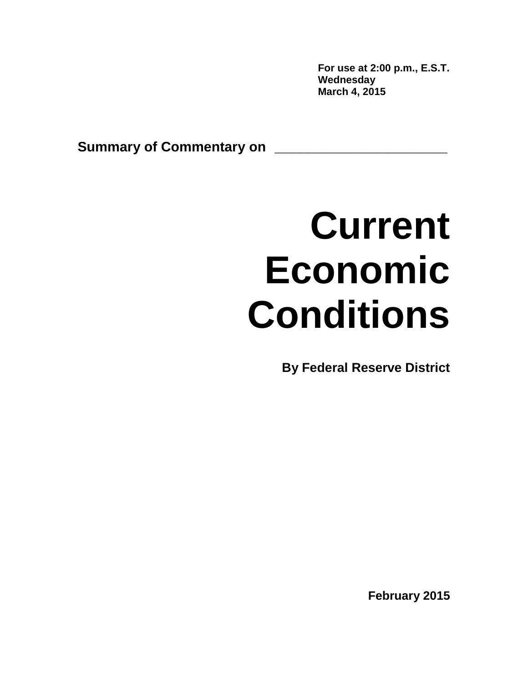**For use at 2:00 p.m., E.S.T. Wednesday March 4, 2015** 

**Summary of Commentary on \_\_\_\_\_\_\_\_\_\_\_\_\_\_\_\_\_\_\_\_**

# **Current Economic Conditions**

**By Federal Reserve District** 

**February 2015**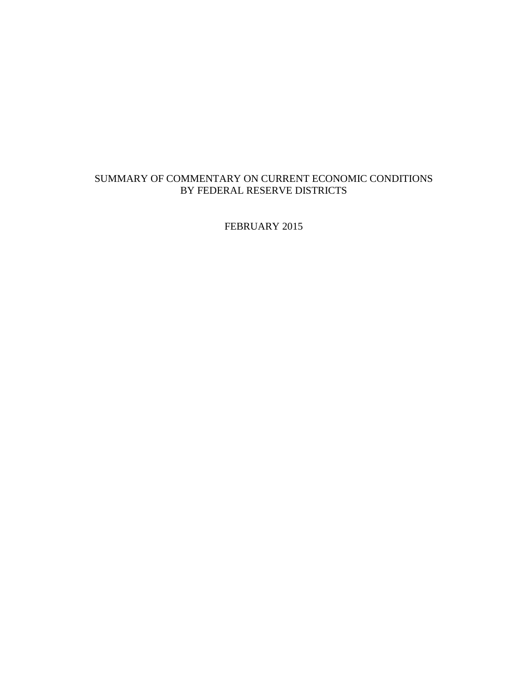# SUMMARY OF COMMENTARY ON CURRENT ECONOMIC CONDITIONS BY FEDERAL RESERVE DISTRICTS

FEBRUARY 2015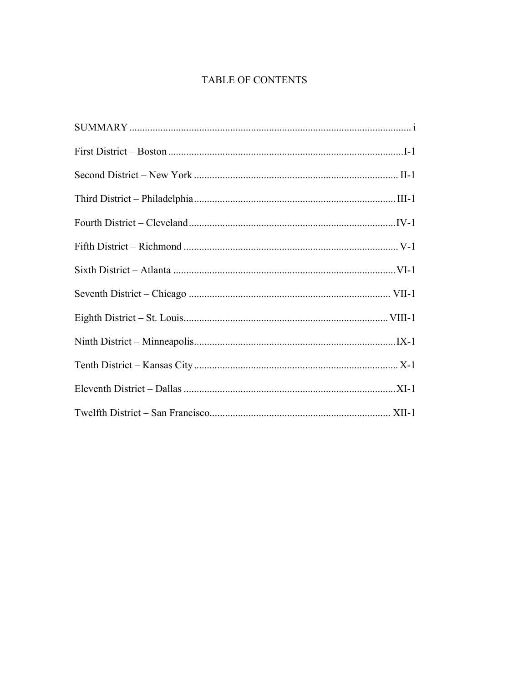# TABLE OF CONTENTS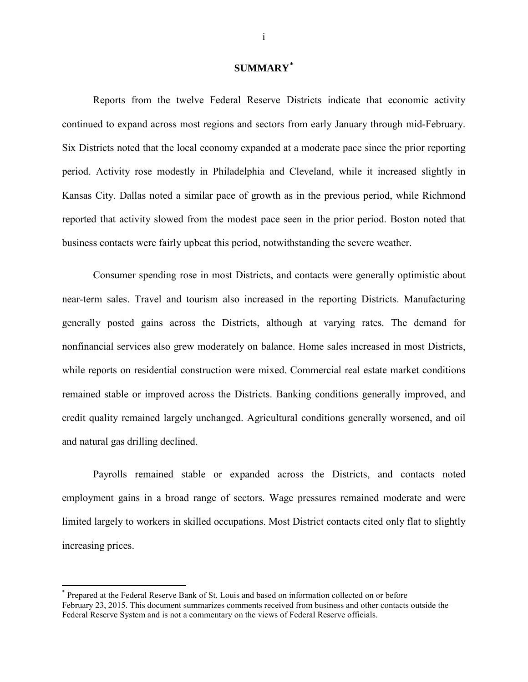## **SUMMARY[\\*](#page-3-0)**

Reports from the twelve Federal Reserve Districts indicate that economic activity continued to expand across most regions and sectors from early January through mid-February. Six Districts noted that the local economy expanded at a moderate pace since the prior reporting period. Activity rose modestly in Philadelphia and Cleveland, while it increased slightly in Kansas City. Dallas noted a similar pace of growth as in the previous period, while Richmond reported that activity slowed from the modest pace seen in the prior period. Boston noted that business contacts were fairly upbeat this period, notwithstanding the severe weather.

Consumer spending rose in most Districts, and contacts were generally optimistic about near-term sales. Travel and tourism also increased in the reporting Districts. Manufacturing generally posted gains across the Districts, although at varying rates. The demand for nonfinancial services also grew moderately on balance. Home sales increased in most Districts, while reports on residential construction were mixed. Commercial real estate market conditions remained stable or improved across the Districts. Banking conditions generally improved, and credit quality remained largely unchanged. Agricultural conditions generally worsened, and oil and natural gas drilling declined.

Payrolls remained stable or expanded across the Districts, and contacts noted employment gains in a broad range of sectors. Wage pressures remained moderate and were limited largely to workers in skilled occupations. Most District contacts cited only flat to slightly increasing prices.

 $\overline{\phantom{a}}$ 

<span id="page-3-0"></span>Prepared at the Federal Reserve Bank of St. Louis and based on information collected on or before February 23, 2015. This document summarizes comments received from business and other contacts outside the Federal Reserve System and is not a commentary on the views of Federal Reserve officials.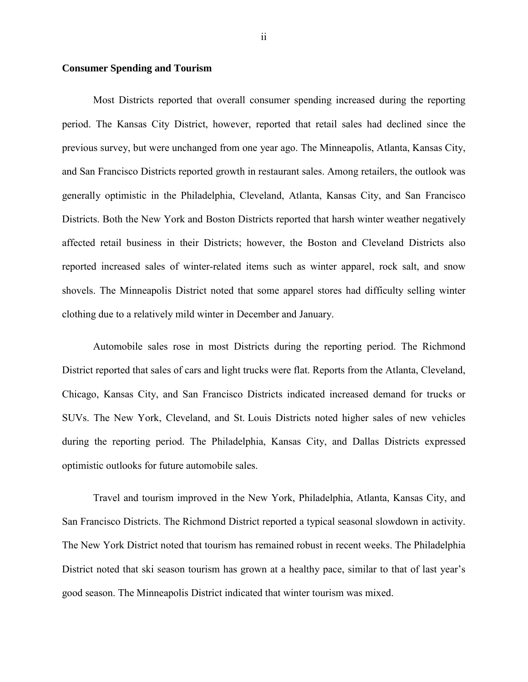## **Consumer Spending and Tourism**

Most Districts reported that overall consumer spending increased during the reporting period. The Kansas City District, however, reported that retail sales had declined since the previous survey, but were unchanged from one year ago. The Minneapolis, Atlanta, Kansas City, and San Francisco Districts reported growth in restaurant sales. Among retailers, the outlook was generally optimistic in the Philadelphia, Cleveland, Atlanta, Kansas City, and San Francisco Districts. Both the New York and Boston Districts reported that harsh winter weather negatively affected retail business in their Districts; however, the Boston and Cleveland Districts also reported increased sales of winter-related items such as winter apparel, rock salt, and snow shovels. The Minneapolis District noted that some apparel stores had difficulty selling winter clothing due to a relatively mild winter in December and January.

Automobile sales rose in most Districts during the reporting period. The Richmond District reported that sales of cars and light trucks were flat. Reports from the Atlanta, Cleveland, Chicago, Kansas City, and San Francisco Districts indicated increased demand for trucks or SUVs. The New York, Cleveland, and St. Louis Districts noted higher sales of new vehicles during the reporting period. The Philadelphia, Kansas City, and Dallas Districts expressed optimistic outlooks for future automobile sales.

Travel and tourism improved in the New York, Philadelphia, Atlanta, Kansas City, and San Francisco Districts. The Richmond District reported a typical seasonal slowdown in activity. The New York District noted that tourism has remained robust in recent weeks. The Philadelphia District noted that ski season tourism has grown at a healthy pace, similar to that of last year's good season. The Minneapolis District indicated that winter tourism was mixed.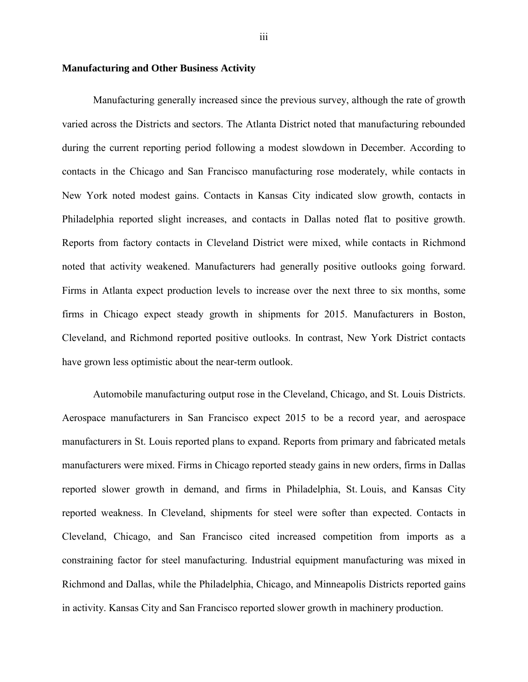## **Manufacturing and Other Business Activity**

Manufacturing generally increased since the previous survey, although the rate of growth varied across the Districts and sectors. The Atlanta District noted that manufacturing rebounded during the current reporting period following a modest slowdown in December. According to contacts in the Chicago and San Francisco manufacturing rose moderately, while contacts in New York noted modest gains. Contacts in Kansas City indicated slow growth, contacts in Philadelphia reported slight increases, and contacts in Dallas noted flat to positive growth. Reports from factory contacts in Cleveland District were mixed, while contacts in Richmond noted that activity weakened. Manufacturers had generally positive outlooks going forward. Firms in Atlanta expect production levels to increase over the next three to six months, some firms in Chicago expect steady growth in shipments for 2015. Manufacturers in Boston, Cleveland, and Richmond reported positive outlooks. In contrast, New York District contacts have grown less optimistic about the near-term outlook.

Automobile manufacturing output rose in the Cleveland, Chicago, and St. Louis Districts. Aerospace manufacturers in San Francisco expect 2015 to be a record year, and aerospace manufacturers in St. Louis reported plans to expand. Reports from primary and fabricated metals manufacturers were mixed. Firms in Chicago reported steady gains in new orders, firms in Dallas reported slower growth in demand, and firms in Philadelphia, St. Louis, and Kansas City reported weakness. In Cleveland, shipments for steel were softer than expected. Contacts in Cleveland, Chicago, and San Francisco cited increased competition from imports as a constraining factor for steel manufacturing. Industrial equipment manufacturing was mixed in Richmond and Dallas, while the Philadelphia, Chicago, and Minneapolis Districts reported gains in activity. Kansas City and San Francisco reported slower growth in machinery production.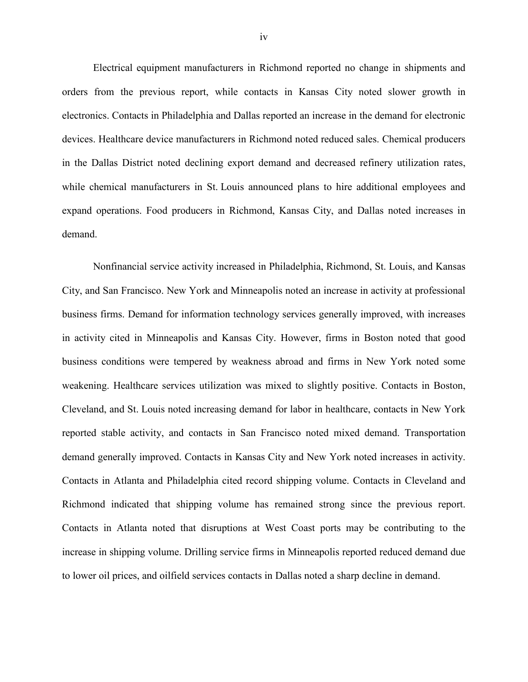Electrical equipment manufacturers in Richmond reported no change in shipments and orders from the previous report, while contacts in Kansas City noted slower growth in electronics. Contacts in Philadelphia and Dallas reported an increase in the demand for electronic devices. Healthcare device manufacturers in Richmond noted reduced sales. Chemical producers in the Dallas District noted declining export demand and decreased refinery utilization rates, while chemical manufacturers in St. Louis announced plans to hire additional employees and expand operations. Food producers in Richmond, Kansas City, and Dallas noted increases in demand.

Nonfinancial service activity increased in Philadelphia, Richmond, St. Louis, and Kansas City, and San Francisco. New York and Minneapolis noted an increase in activity at professional business firms. Demand for information technology services generally improved, with increases in activity cited in Minneapolis and Kansas City. However, firms in Boston noted that good business conditions were tempered by weakness abroad and firms in New York noted some weakening. Healthcare services utilization was mixed to slightly positive. Contacts in Boston, Cleveland, and St. Louis noted increasing demand for labor in healthcare, contacts in New York reported stable activity, and contacts in San Francisco noted mixed demand. Transportation demand generally improved. Contacts in Kansas City and New York noted increases in activity. Contacts in Atlanta and Philadelphia cited record shipping volume. Contacts in Cleveland and Richmond indicated that shipping volume has remained strong since the previous report. Contacts in Atlanta noted that disruptions at West Coast ports may be contributing to the increase in shipping volume. Drilling service firms in Minneapolis reported reduced demand due to lower oil prices, and oilfield services contacts in Dallas noted a sharp decline in demand.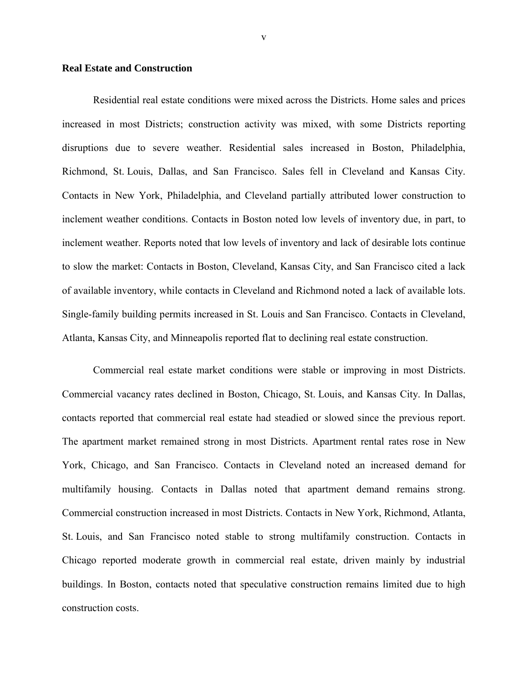## **Real Estate and Construction**

Residential real estate conditions were mixed across the Districts. Home sales and prices increased in most Districts; construction activity was mixed, with some Districts reporting disruptions due to severe weather. Residential sales increased in Boston, Philadelphia, Richmond, St. Louis, Dallas, and San Francisco. Sales fell in Cleveland and Kansas City. Contacts in New York, Philadelphia, and Cleveland partially attributed lower construction to inclement weather conditions. Contacts in Boston noted low levels of inventory due, in part, to inclement weather. Reports noted that low levels of inventory and lack of desirable lots continue to slow the market: Contacts in Boston, Cleveland, Kansas City, and San Francisco cited a lack of available inventory, while contacts in Cleveland and Richmond noted a lack of available lots. Single-family building permits increased in St. Louis and San Francisco. Contacts in Cleveland, Atlanta, Kansas City, and Minneapolis reported flat to declining real estate construction.

Commercial real estate market conditions were stable or improving in most Districts. Commercial vacancy rates declined in Boston, Chicago, St. Louis, and Kansas City. In Dallas, contacts reported that commercial real estate had steadied or slowed since the previous report. The apartment market remained strong in most Districts. Apartment rental rates rose in New York, Chicago, and San Francisco. Contacts in Cleveland noted an increased demand for multifamily housing. Contacts in Dallas noted that apartment demand remains strong. Commercial construction increased in most Districts. Contacts in New York, Richmond, Atlanta, St. Louis, and San Francisco noted stable to strong multifamily construction. Contacts in Chicago reported moderate growth in commercial real estate, driven mainly by industrial buildings. In Boston, contacts noted that speculative construction remains limited due to high construction costs.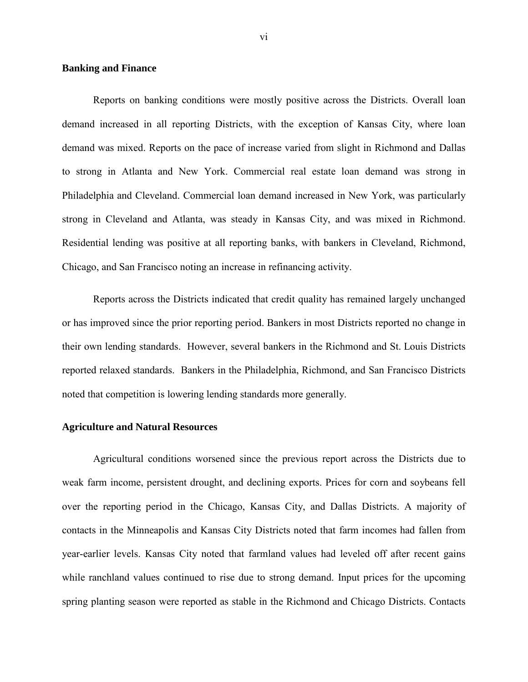## **Banking and Finance**

Reports on banking conditions were mostly positive across the Districts. Overall loan demand increased in all reporting Districts, with the exception of Kansas City, where loan demand was mixed. Reports on the pace of increase varied from slight in Richmond and Dallas to strong in Atlanta and New York. Commercial real estate loan demand was strong in Philadelphia and Cleveland. Commercial loan demand increased in New York, was particularly strong in Cleveland and Atlanta, was steady in Kansas City, and was mixed in Richmond. Residential lending was positive at all reporting banks, with bankers in Cleveland, Richmond, Chicago, and San Francisco noting an increase in refinancing activity.

Reports across the Districts indicated that credit quality has remained largely unchanged or has improved since the prior reporting period. Bankers in most Districts reported no change in their own lending standards. However, several bankers in the Richmond and St. Louis Districts reported relaxed standards. Bankers in the Philadelphia, Richmond, and San Francisco Districts noted that competition is lowering lending standards more generally.

## **Agriculture and Natural Resources**

Agricultural conditions worsened since the previous report across the Districts due to weak farm income, persistent drought, and declining exports. Prices for corn and soybeans fell over the reporting period in the Chicago, Kansas City, and Dallas Districts. A majority of contacts in the Minneapolis and Kansas City Districts noted that farm incomes had fallen from year-earlier levels. Kansas City noted that farmland values had leveled off after recent gains while ranchland values continued to rise due to strong demand. Input prices for the upcoming spring planting season were reported as stable in the Richmond and Chicago Districts. Contacts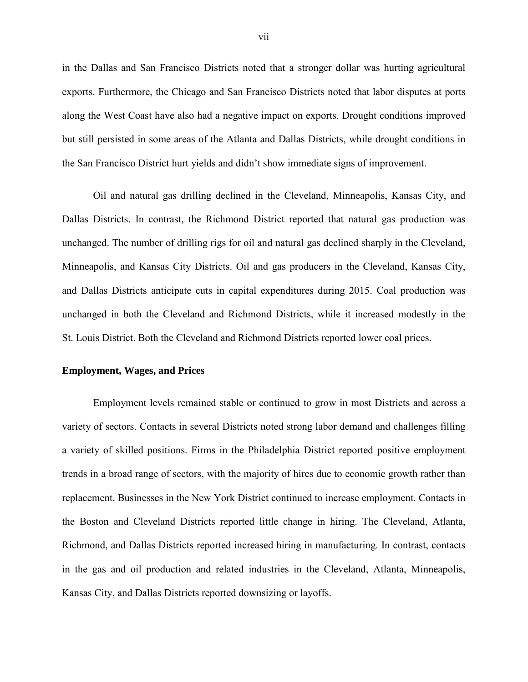in the Dallas and San Francisco Districts noted that a stronger dollar was hurting agricultural exports. Furthermore, the Chicago and San Francisco Districts noted that labor disputes at ports along the West Coast have also had a negative impact on exports. Drought conditions improved but still persisted in some areas of the Atlanta and Dallas Districts, while drought conditions in the San Francisco District hurt yields and didn't show immediate signs of improvement.

Oil and natural gas drilling declined in the Cleveland, Minneapolis, Kansas City, and Dallas Districts. In contrast, the Richmond District reported that natural gas production was unchanged. The number of drilling rigs for oil and natural gas declined sharply in the Cleveland, Minneapolis, and Kansas City Districts. Oil and gas producers in the Cleveland, Kansas City, and Dallas Districts anticipate cuts in capital expenditures during 2015. Coal production was unchanged in both the Cleveland and Richmond Districts, while it increased modestly in the St. Louis District. Both the Cleveland and Richmond Districts reported lower coal prices.

## **Employment, Wages, and Prices**

Employment levels remained stable or continued to grow in most Districts and across a variety of sectors. Contacts in several Districts noted strong labor demand and challenges filling a variety of skilled positions. Firms in the Philadelphia District reported positive employment trends in a broad range of sectors, with the majority of hires due to economic growth rather than replacement. Businesses in the New York District continued to increase employment. Contacts in the Boston and Cleveland Districts reported little change in hiring. The Cleveland, Atlanta, Richmond, and Dallas Districts reported increased hiring in manufacturing. In contrast, contacts in the gas and oil production and related industries in the Cleveland, Atlanta, Minneapolis, Kansas City, and Dallas Districts reported downsizing or layoffs.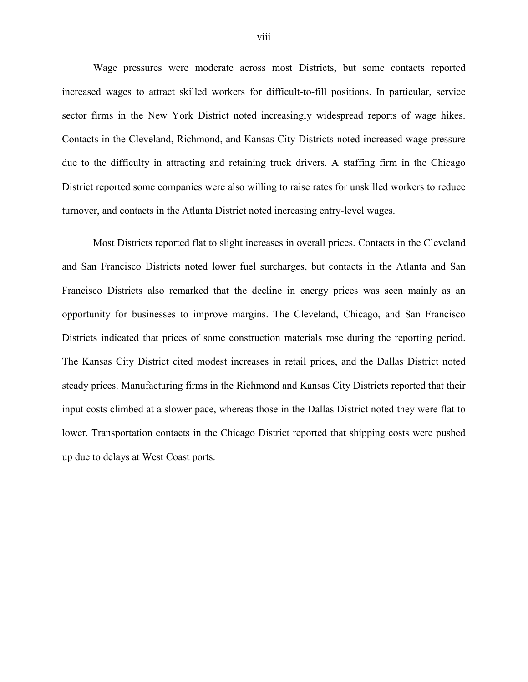Wage pressures were moderate across most Districts, but some contacts reported increased wages to attract skilled workers for difficult-to-fill positions. In particular, service sector firms in the New York District noted increasingly widespread reports of wage hikes. Contacts in the Cleveland, Richmond, and Kansas City Districts noted increased wage pressure due to the difficulty in attracting and retaining truck drivers. A staffing firm in the Chicago District reported some companies were also willing to raise rates for unskilled workers to reduce turnover, and contacts in the Atlanta District noted increasing entry-level wages.

Most Districts reported flat to slight increases in overall prices. Contacts in the Cleveland and San Francisco Districts noted lower fuel surcharges, but contacts in the Atlanta and San Francisco Districts also remarked that the decline in energy prices was seen mainly as an opportunity for businesses to improve margins. The Cleveland, Chicago, and San Francisco Districts indicated that prices of some construction materials rose during the reporting period. The Kansas City District cited modest increases in retail prices, and the Dallas District noted steady prices. Manufacturing firms in the Richmond and Kansas City Districts reported that their input costs climbed at a slower pace, whereas those in the Dallas District noted they were flat to lower. Transportation contacts in the Chicago District reported that shipping costs were pushed up due to delays at West Coast ports.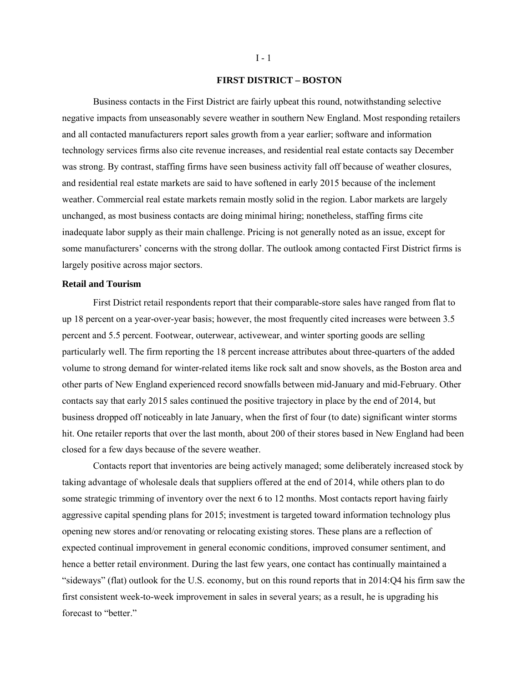#### **FIRST DISTRICT – BOSTON**

Business contacts in the First District are fairly upbeat this round, notwithstanding selective negative impacts from unseasonably severe weather in southern New England. Most responding retailers and all contacted manufacturers report sales growth from a year earlier; software and information technology services firms also cite revenue increases, and residential real estate contacts say December was strong. By contrast, staffing firms have seen business activity fall off because of weather closures, and residential real estate markets are said to have softened in early 2015 because of the inclement weather. Commercial real estate markets remain mostly solid in the region. Labor markets are largely unchanged, as most business contacts are doing minimal hiring; nonetheless, staffing firms cite inadequate labor supply as their main challenge. Pricing is not generally noted as an issue, except for some manufacturers' concerns with the strong dollar. The outlook among contacted First District firms is largely positive across major sectors.

## **Retail and Tourism**

First District retail respondents report that their comparable-store sales have ranged from flat to up 18 percent on a year-over-year basis; however, the most frequently cited increases were between 3.5 percent and 5.5 percent. Footwear, outerwear, activewear, and winter sporting goods are selling particularly well. The firm reporting the 18 percent increase attributes about three-quarters of the added volume to strong demand for winter-related items like rock salt and snow shovels, as the Boston area and other parts of New England experienced record snowfalls between mid-January and mid-February. Other contacts say that early 2015 sales continued the positive trajectory in place by the end of 2014, but business dropped off noticeably in late January, when the first of four (to date) significant winter storms hit. One retailer reports that over the last month, about 200 of their stores based in New England had been closed for a few days because of the severe weather.

Contacts report that inventories are being actively managed; some deliberately increased stock by taking advantage of wholesale deals that suppliers offered at the end of 2014, while others plan to do some strategic trimming of inventory over the next 6 to 12 months. Most contacts report having fairly aggressive capital spending plans for 2015; investment is targeted toward information technology plus opening new stores and/or renovating or relocating existing stores. These plans are a reflection of expected continual improvement in general economic conditions, improved consumer sentiment, and hence a better retail environment. During the last few years, one contact has continually maintained a "sideways" (flat) outlook for the U.S. economy, but on this round reports that in 2014:Q4 his firm saw the first consistent week-to-week improvement in sales in several years; as a result, he is upgrading his forecast to "better."

#### $I - 1$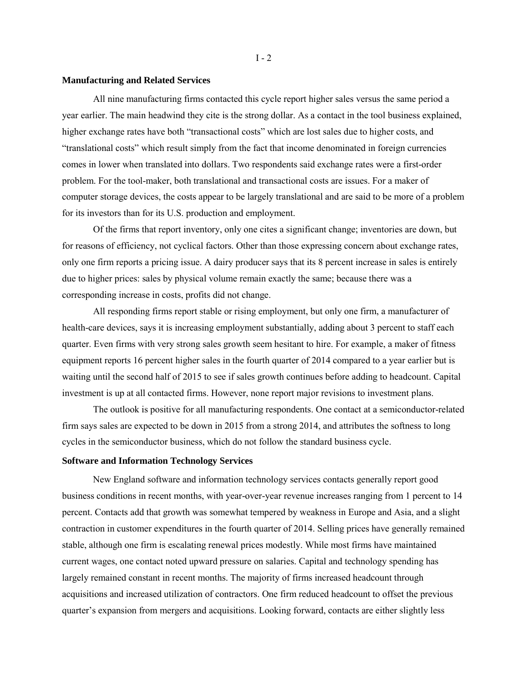## **Manufacturing and Related Services**

All nine manufacturing firms contacted this cycle report higher sales versus the same period a year earlier. The main headwind they cite is the strong dollar. As a contact in the tool business explained, higher exchange rates have both "transactional costs" which are lost sales due to higher costs, and "translational costs" which result simply from the fact that income denominated in foreign currencies comes in lower when translated into dollars. Two respondents said exchange rates were a first-order problem. For the tool-maker, both translational and transactional costs are issues. For a maker of computer storage devices, the costs appear to be largely translational and are said to be more of a problem for its investors than for its U.S. production and employment.

Of the firms that report inventory, only one cites a significant change; inventories are down, but for reasons of efficiency, not cyclical factors. Other than those expressing concern about exchange rates, only one firm reports a pricing issue. A dairy producer says that its 8 percent increase in sales is entirely due to higher prices: sales by physical volume remain exactly the same; because there was a corresponding increase in costs, profits did not change.

All responding firms report stable or rising employment, but only one firm, a manufacturer of health-care devices, says it is increasing employment substantially, adding about 3 percent to staff each quarter. Even firms with very strong sales growth seem hesitant to hire. For example, a maker of fitness equipment reports 16 percent higher sales in the fourth quarter of 2014 compared to a year earlier but is waiting until the second half of 2015 to see if sales growth continues before adding to headcount. Capital investment is up at all contacted firms. However, none report major revisions to investment plans.

The outlook is positive for all manufacturing respondents. One contact at a semiconductor-related firm says sales are expected to be down in 2015 from a strong 2014, and attributes the softness to long cycles in the semiconductor business, which do not follow the standard business cycle.

#### **Software and Information Technology Services**

New England software and information technology services contacts generally report good business conditions in recent months, with year-over-year revenue increases ranging from 1 percent to 14 percent. Contacts add that growth was somewhat tempered by weakness in Europe and Asia, and a slight contraction in customer expenditures in the fourth quarter of 2014. Selling prices have generally remained stable, although one firm is escalating renewal prices modestly. While most firms have maintained current wages, one contact noted upward pressure on salaries. Capital and technology spending has largely remained constant in recent months. The majority of firms increased headcount through acquisitions and increased utilization of contractors. One firm reduced headcount to offset the previous quarter's expansion from mergers and acquisitions. Looking forward, contacts are either slightly less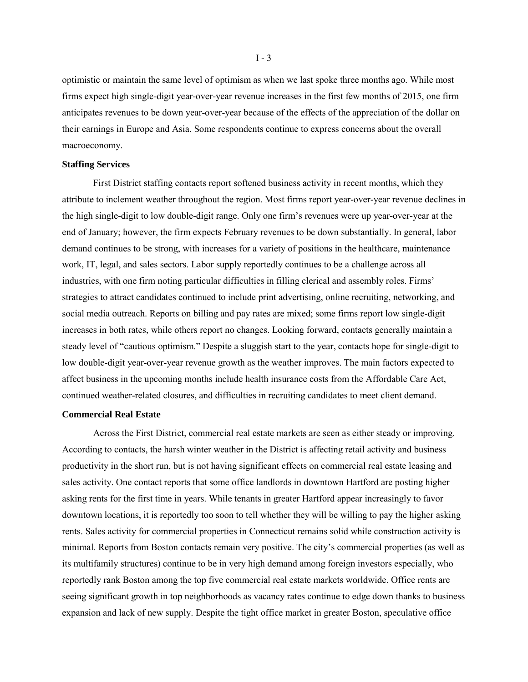optimistic or maintain the same level of optimism as when we last spoke three months ago. While most firms expect high single-digit year-over-year revenue increases in the first few months of 2015, one firm anticipates revenues to be down year-over-year because of the effects of the appreciation of the dollar on their earnings in Europe and Asia. Some respondents continue to express concerns about the overall macroeconomy.

#### **Staffing Services**

First District staffing contacts report softened business activity in recent months, which they attribute to inclement weather throughout the region. Most firms report year-over-year revenue declines in the high single-digit to low double-digit range. Only one firm's revenues were up year-over-year at the end of January; however, the firm expects February revenues to be down substantially. In general, labor demand continues to be strong, with increases for a variety of positions in the healthcare, maintenance work, IT, legal, and sales sectors. Labor supply reportedly continues to be a challenge across all industries, with one firm noting particular difficulties in filling clerical and assembly roles. Firms' strategies to attract candidates continued to include print advertising, online recruiting, networking, and social media outreach. Reports on billing and pay rates are mixed; some firms report low single-digit increases in both rates, while others report no changes. Looking forward, contacts generally maintain a steady level of "cautious optimism." Despite a sluggish start to the year, contacts hope for single-digit to low double-digit year-over-year revenue growth as the weather improves. The main factors expected to affect business in the upcoming months include health insurance costs from the Affordable Care Act, continued weather-related closures, and difficulties in recruiting candidates to meet client demand.

#### **Commercial Real Estate**

Across the First District, commercial real estate markets are seen as either steady or improving. According to contacts, the harsh winter weather in the District is affecting retail activity and business productivity in the short run, but is not having significant effects on commercial real estate leasing and sales activity. One contact reports that some office landlords in downtown Hartford are posting higher asking rents for the first time in years. While tenants in greater Hartford appear increasingly to favor downtown locations, it is reportedly too soon to tell whether they will be willing to pay the higher asking rents. Sales activity for commercial properties in Connecticut remains solid while construction activity is minimal. Reports from Boston contacts remain very positive. The city's commercial properties (as well as its multifamily structures) continue to be in very high demand among foreign investors especially, who reportedly rank Boston among the top five commercial real estate markets worldwide. Office rents are seeing significant growth in top neighborhoods as vacancy rates continue to edge down thanks to business expansion and lack of new supply. Despite the tight office market in greater Boston, speculative office

 $I - 3$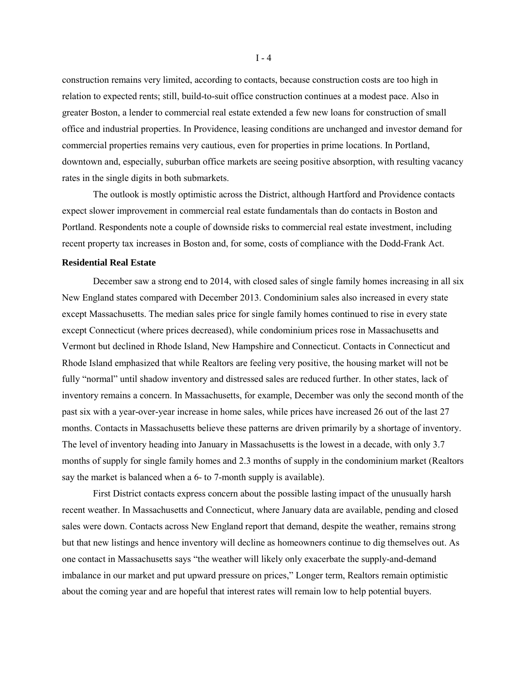construction remains very limited, according to contacts, because construction costs are too high in relation to expected rents; still, build-to-suit office construction continues at a modest pace. Also in greater Boston, a lender to commercial real estate extended a few new loans for construction of small office and industrial properties. In Providence, leasing conditions are unchanged and investor demand for commercial properties remains very cautious, even for properties in prime locations. In Portland, downtown and, especially, suburban office markets are seeing positive absorption, with resulting vacancy rates in the single digits in both submarkets.

The outlook is mostly optimistic across the District, although Hartford and Providence contacts expect slower improvement in commercial real estate fundamentals than do contacts in Boston and Portland. Respondents note a couple of downside risks to commercial real estate investment, including recent property tax increases in Boston and, for some, costs of compliance with the Dodd-Frank Act.

#### **Residential Real Estate**

December saw a strong end to 2014, with closed sales of single family homes increasing in all six New England states compared with December 2013. Condominium sales also increased in every state except Massachusetts. The median sales price for single family homes continued to rise in every state except Connecticut (where prices decreased), while condominium prices rose in Massachusetts and Vermont but declined in Rhode Island, New Hampshire and Connecticut. Contacts in Connecticut and Rhode Island emphasized that while Realtors are feeling very positive, the housing market will not be fully "normal" until shadow inventory and distressed sales are reduced further. In other states, lack of inventory remains a concern. In Massachusetts, for example, December was only the second month of the past six with a year-over-year increase in home sales, while prices have increased 26 out of the last 27 months. Contacts in Massachusetts believe these patterns are driven primarily by a shortage of inventory. The level of inventory heading into January in Massachusetts is the lowest in a decade, with only 3.7 months of supply for single family homes and 2.3 months of supply in the condominium market (Realtors say the market is balanced when a 6- to 7-month supply is available).

First District contacts express concern about the possible lasting impact of the unusually harsh recent weather. In Massachusetts and Connecticut, where January data are available, pending and closed sales were down. Contacts across New England report that demand, despite the weather, remains strong but that new listings and hence inventory will decline as homeowners continue to dig themselves out. As one contact in Massachusetts says "the weather will likely only exacerbate the supply-and-demand imbalance in our market and put upward pressure on prices," Longer term, Realtors remain optimistic about the coming year and are hopeful that interest rates will remain low to help potential buyers.

I - 4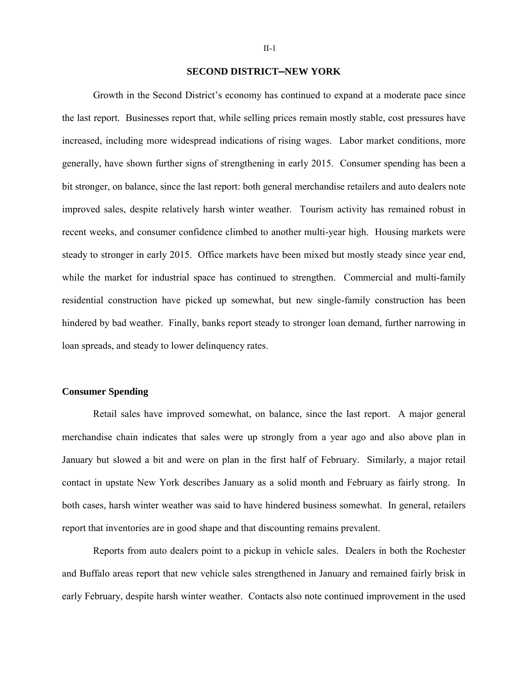## **SECOND DISTRICT—NEW YORK**

Growth in the Second District's economy has continued to expand at a moderate pace since the last report. Businesses report that, while selling prices remain mostly stable, cost pressures have increased, including more widespread indications of rising wages. Labor market conditions, more generally, have shown further signs of strengthening in early 2015. Consumer spending has been a bit stronger, on balance, since the last report: both general merchandise retailers and auto dealers note improved sales, despite relatively harsh winter weather. Tourism activity has remained robust in recent weeks, and consumer confidence climbed to another multi-year high. Housing markets were steady to stronger in early 2015. Office markets have been mixed but mostly steady since year end, while the market for industrial space has continued to strengthen. Commercial and multi-family residential construction have picked up somewhat, but new single-family construction has been hindered by bad weather. Finally, banks report steady to stronger loan demand, further narrowing in loan spreads, and steady to lower delinquency rates.

## **Consumer Spending**

Retail sales have improved somewhat, on balance, since the last report. A major general merchandise chain indicates that sales were up strongly from a year ago and also above plan in January but slowed a bit and were on plan in the first half of February. Similarly, a major retail contact in upstate New York describes January as a solid month and February as fairly strong. In both cases, harsh winter weather was said to have hindered business somewhat. In general, retailers report that inventories are in good shape and that discounting remains prevalent.

Reports from auto dealers point to a pickup in vehicle sales. Dealers in both the Rochester and Buffalo areas report that new vehicle sales strengthened in January and remained fairly brisk in early February, despite harsh winter weather. Contacts also note continued improvement in the used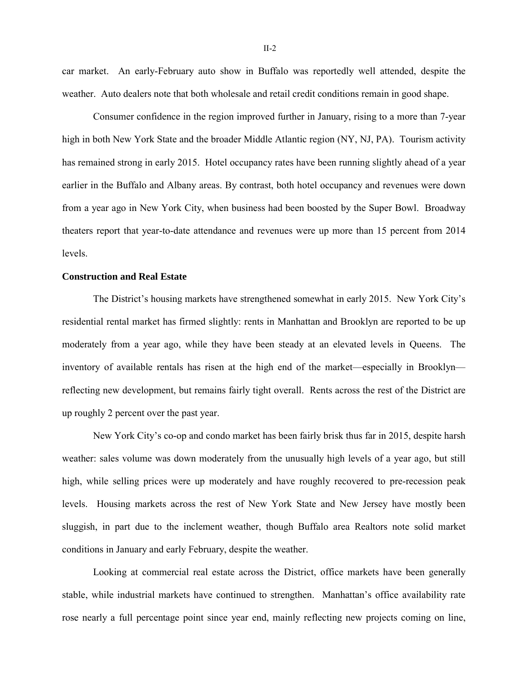car market. An early-February auto show in Buffalo was reportedly well attended, despite the weather. Auto dealers note that both wholesale and retail credit conditions remain in good shape.

Consumer confidence in the region improved further in January, rising to a more than 7-year high in both New York State and the broader Middle Atlantic region (NY, NJ, PA). Tourism activity has remained strong in early 2015. Hotel occupancy rates have been running slightly ahead of a year earlier in the Buffalo and Albany areas. By contrast, both hotel occupancy and revenues were down from a year ago in New York City, when business had been boosted by the Super Bowl. Broadway theaters report that year-to-date attendance and revenues were up more than 15 percent from 2014 levels.

## **Construction and Real Estate**

The District's housing markets have strengthened somewhat in early 2015. New York City's residential rental market has firmed slightly: rents in Manhattan and Brooklyn are reported to be up moderately from a year ago, while they have been steady at an elevated levels in Queens. The inventory of available rentals has risen at the high end of the market—especially in Brooklyn reflecting new development, but remains fairly tight overall. Rents across the rest of the District are up roughly 2 percent over the past year.

New York City's co-op and condo market has been fairly brisk thus far in 2015, despite harsh weather: sales volume was down moderately from the unusually high levels of a year ago, but still high, while selling prices were up moderately and have roughly recovered to pre-recession peak levels. Housing markets across the rest of New York State and New Jersey have mostly been sluggish, in part due to the inclement weather, though Buffalo area Realtors note solid market conditions in January and early February, despite the weather.

Looking at commercial real estate across the District, office markets have been generally stable, while industrial markets have continued to strengthen. Manhattan's office availability rate rose nearly a full percentage point since year end, mainly reflecting new projects coming on line,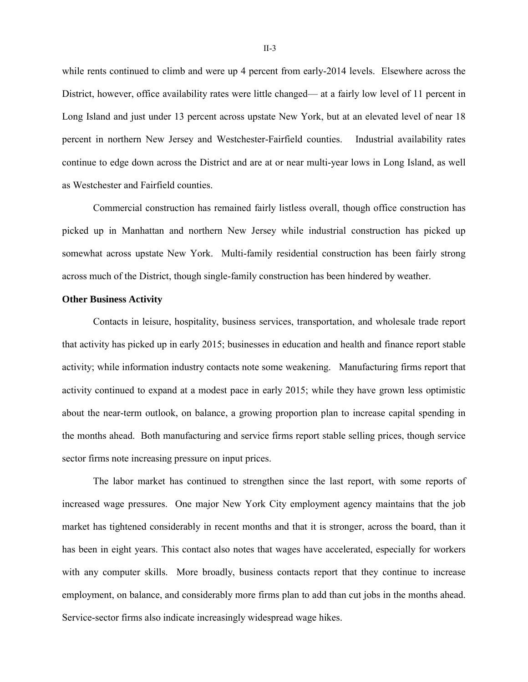while rents continued to climb and were up 4 percent from early-2014 levels. Elsewhere across the District, however, office availability rates were little changed— at a fairly low level of 11 percent in Long Island and just under 13 percent across upstate New York, but at an elevated level of near 18 percent in northern New Jersey and Westchester-Fairfield counties. Industrial availability rates continue to edge down across the District and are at or near multi-year lows in Long Island, as well as Westchester and Fairfield counties.

Commercial construction has remained fairly listless overall, though office construction has picked up in Manhattan and northern New Jersey while industrial construction has picked up somewhat across upstate New York. Multi-family residential construction has been fairly strong across much of the District, though single-family construction has been hindered by weather.

## **Other Business Activity**

Contacts in leisure, hospitality, business services, transportation, and wholesale trade report that activity has picked up in early 2015; businesses in education and health and finance report stable activity; while information industry contacts note some weakening. Manufacturing firms report that activity continued to expand at a modest pace in early 2015; while they have grown less optimistic about the near-term outlook, on balance, a growing proportion plan to increase capital spending in the months ahead. Both manufacturing and service firms report stable selling prices, though service sector firms note increasing pressure on input prices.

The labor market has continued to strengthen since the last report, with some reports of increased wage pressures. One major New York City employment agency maintains that the job market has tightened considerably in recent months and that it is stronger, across the board, than it has been in eight years. This contact also notes that wages have accelerated, especially for workers with any computer skills. More broadly, business contacts report that they continue to increase employment, on balance, and considerably more firms plan to add than cut jobs in the months ahead. Service-sector firms also indicate increasingly widespread wage hikes.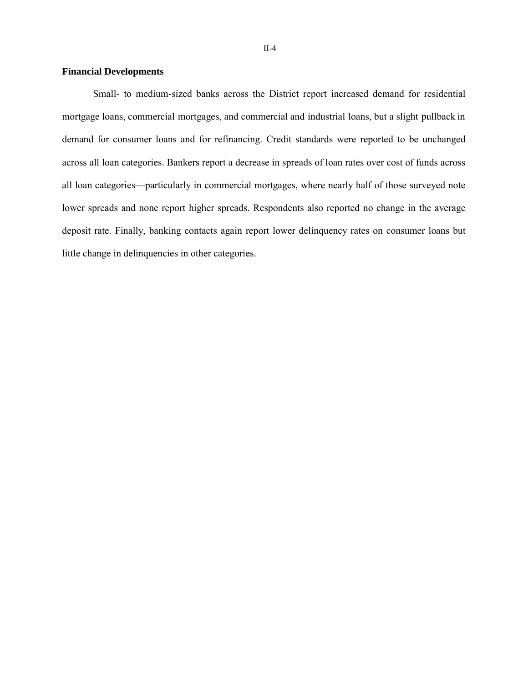## **Financial Developments**

Small- to medium-sized banks across the District report increased demand for residential mortgage loans, commercial mortgages, and commercial and industrial loans, but a slight pullback in demand for consumer loans and for refinancing. Credit standards were reported to be unchanged across all loan categories. Bankers report a decrease in spreads of loan rates over cost of funds across all loan categories—particularly in commercial mortgages, where nearly half of those surveyed note lower spreads and none report higher spreads. Respondents also reported no change in the average deposit rate. Finally, banking contacts again report lower delinquency rates on consumer loans but little change in delinquencies in other categories.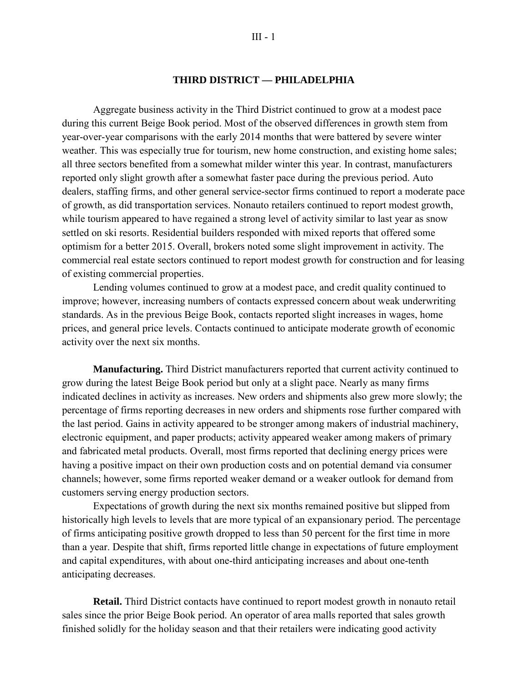## **THIRD DISTRICT — PHILADELPHIA**

Aggregate business activity in the Third District continued to grow at a modest pace during this current Beige Book period. Most of the observed differences in growth stem from year-over-year comparisons with the early 2014 months that were battered by severe winter weather. This was especially true for tourism, new home construction, and existing home sales; all three sectors benefited from a somewhat milder winter this year. In contrast, manufacturers reported only slight growth after a somewhat faster pace during the previous period. Auto dealers, staffing firms, and other general service-sector firms continued to report a moderate pace of growth, as did transportation services. Nonauto retailers continued to report modest growth, while tourism appeared to have regained a strong level of activity similar to last year as snow settled on ski resorts. Residential builders responded with mixed reports that offered some optimism for a better 2015. Overall, brokers noted some slight improvement in activity. The commercial real estate sectors continued to report modest growth for construction and for leasing of existing commercial properties.

Lending volumes continued to grow at a modest pace, and credit quality continued to improve; however, increasing numbers of contacts expressed concern about weak underwriting standards. As in the previous Beige Book, contacts reported slight increases in wages, home prices, and general price levels. Contacts continued to anticipate moderate growth of economic activity over the next six months.

**Manufacturing.** Third District manufacturers reported that current activity continued to grow during the latest Beige Book period but only at a slight pace. Nearly as many firms indicated declines in activity as increases. New orders and shipments also grew more slowly; the percentage of firms reporting decreases in new orders and shipments rose further compared with the last period. Gains in activity appeared to be stronger among makers of industrial machinery, electronic equipment, and paper products; activity appeared weaker among makers of primary and fabricated metal products. Overall, most firms reported that declining energy prices were having a positive impact on their own production costs and on potential demand via consumer channels; however, some firms reported weaker demand or a weaker outlook for demand from customers serving energy production sectors.

Expectations of growth during the next six months remained positive but slipped from historically high levels to levels that are more typical of an expansionary period. The percentage of firms anticipating positive growth dropped to less than 50 percent for the first time in more than a year. Despite that shift, firms reported little change in expectations of future employment and capital expenditures, with about one-third anticipating increases and about one-tenth anticipating decreases.

**Retail.** Third District contacts have continued to report modest growth in nonauto retail sales since the prior Beige Book period. An operator of area malls reported that sales growth finished solidly for the holiday season and that their retailers were indicating good activity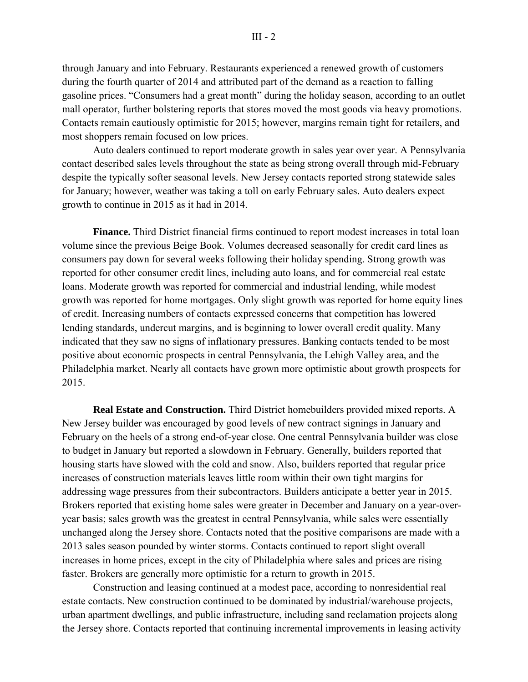through January and into February. Restaurants experienced a renewed growth of customers during the fourth quarter of 2014 and attributed part of the demand as a reaction to falling gasoline prices. "Consumers had a great month" during the holiday season, according to an outlet mall operator, further bolstering reports that stores moved the most goods via heavy promotions. Contacts remain cautiously optimistic for 2015; however, margins remain tight for retailers, and most shoppers remain focused on low prices.

Auto dealers continued to report moderate growth in sales year over year. A Pennsylvania contact described sales levels throughout the state as being strong overall through mid-February despite the typically softer seasonal levels. New Jersey contacts reported strong statewide sales for January; however, weather was taking a toll on early February sales. Auto dealers expect growth to continue in 2015 as it had in 2014.

**Finance.** Third District financial firms continued to report modest increases in total loan volume since the previous Beige Book. Volumes decreased seasonally for credit card lines as consumers pay down for several weeks following their holiday spending. Strong growth was reported for other consumer credit lines, including auto loans, and for commercial real estate loans. Moderate growth was reported for commercial and industrial lending, while modest growth was reported for home mortgages. Only slight growth was reported for home equity lines of credit. Increasing numbers of contacts expressed concerns that competition has lowered lending standards, undercut margins, and is beginning to lower overall credit quality. Many indicated that they saw no signs of inflationary pressures. Banking contacts tended to be most positive about economic prospects in central Pennsylvania, the Lehigh Valley area, and the Philadelphia market. Nearly all contacts have grown more optimistic about growth prospects for 2015.

**Real Estate and Construction.** Third District homebuilders provided mixed reports. A New Jersey builder was encouraged by good levels of new contract signings in January and February on the heels of a strong end-of-year close. One central Pennsylvania builder was close to budget in January but reported a slowdown in February. Generally, builders reported that housing starts have slowed with the cold and snow. Also, builders reported that regular price increases of construction materials leaves little room within their own tight margins for addressing wage pressures from their subcontractors. Builders anticipate a better year in 2015. Brokers reported that existing home sales were greater in December and January on a year-overyear basis; sales growth was the greatest in central Pennsylvania, while sales were essentially unchanged along the Jersey shore. Contacts noted that the positive comparisons are made with a 2013 sales season pounded by winter storms. Contacts continued to report slight overall increases in home prices, except in the city of Philadelphia where sales and prices are rising faster. Brokers are generally more optimistic for a return to growth in 2015.

Construction and leasing continued at a modest pace, according to nonresidential real estate contacts. New construction continued to be dominated by industrial/warehouse projects, urban apartment dwellings, and public infrastructure, including sand reclamation projects along the Jersey shore. Contacts reported that continuing incremental improvements in leasing activity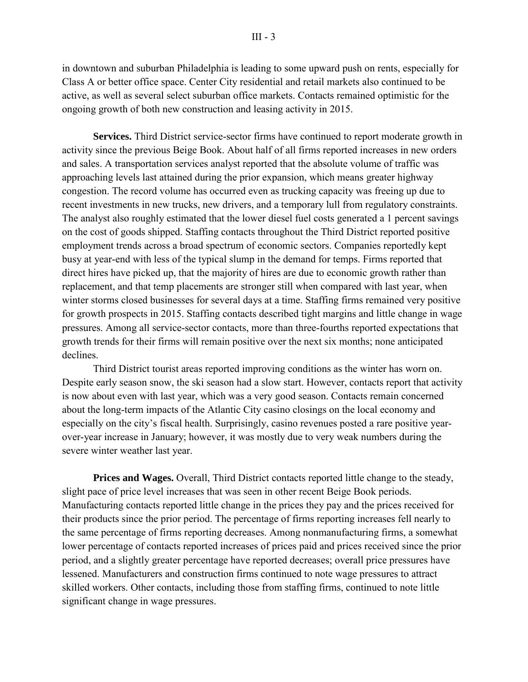in downtown and suburban Philadelphia is leading to some upward push on rents, especially for Class A or better office space. Center City residential and retail markets also continued to be active, as well as several select suburban office markets. Contacts remained optimistic for the ongoing growth of both new construction and leasing activity in 2015.

**Services.** Third District service-sector firms have continued to report moderate growth in activity since the previous Beige Book. About half of all firms reported increases in new orders and sales. A transportation services analyst reported that the absolute volume of traffic was approaching levels last attained during the prior expansion, which means greater highway congestion. The record volume has occurred even as trucking capacity was freeing up due to recent investments in new trucks, new drivers, and a temporary lull from regulatory constraints. The analyst also roughly estimated that the lower diesel fuel costs generated a 1 percent savings on the cost of goods shipped. Staffing contacts throughout the Third District reported positive employment trends across a broad spectrum of economic sectors. Companies reportedly kept busy at year-end with less of the typical slump in the demand for temps. Firms reported that direct hires have picked up, that the majority of hires are due to economic growth rather than replacement, and that temp placements are stronger still when compared with last year, when winter storms closed businesses for several days at a time. Staffing firms remained very positive for growth prospects in 2015. Staffing contacts described tight margins and little change in wage pressures. Among all service-sector contacts, more than three-fourths reported expectations that growth trends for their firms will remain positive over the next six months; none anticipated declines.

Third District tourist areas reported improving conditions as the winter has worn on. Despite early season snow, the ski season had a slow start. However, contacts report that activity is now about even with last year, which was a very good season. Contacts remain concerned about the long-term impacts of the Atlantic City casino closings on the local economy and especially on the city's fiscal health. Surprisingly, casino revenues posted a rare positive yearover-year increase in January; however, it was mostly due to very weak numbers during the severe winter weather last year.

**Prices and Wages.** Overall, Third District contacts reported little change to the steady, slight pace of price level increases that was seen in other recent Beige Book periods. Manufacturing contacts reported little change in the prices they pay and the prices received for their products since the prior period. The percentage of firms reporting increases fell nearly to the same percentage of firms reporting decreases. Among nonmanufacturing firms, a somewhat lower percentage of contacts reported increases of prices paid and prices received since the prior period, and a slightly greater percentage have reported decreases; overall price pressures have lessened. Manufacturers and construction firms continued to note wage pressures to attract skilled workers. Other contacts, including those from staffing firms, continued to note little significant change in wage pressures.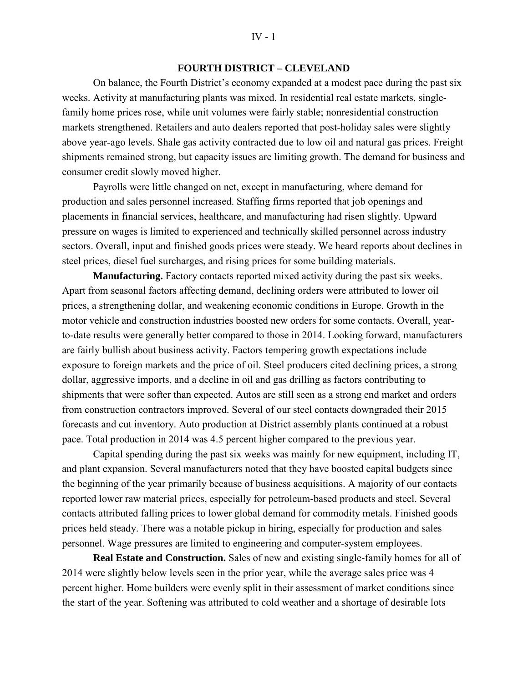## **FOURTH DISTRICT – CLEVELAND**

On balance, the Fourth District's economy expanded at a modest pace during the past six weeks. Activity at manufacturing plants was mixed. In residential real estate markets, singlefamily home prices rose, while unit volumes were fairly stable; nonresidential construction markets strengthened. Retailers and auto dealers reported that post-holiday sales were slightly above year-ago levels. Shale gas activity contracted due to low oil and natural gas prices. Freight shipments remained strong, but capacity issues are limiting growth. The demand for business and consumer credit slowly moved higher.

Payrolls were little changed on net, except in manufacturing, where demand for production and sales personnel increased. Staffing firms reported that job openings and placements in financial services, healthcare, and manufacturing had risen slightly. Upward pressure on wages is limited to experienced and technically skilled personnel across industry sectors. Overall, input and finished goods prices were steady. We heard reports about declines in steel prices, diesel fuel surcharges, and rising prices for some building materials.

**Manufacturing.** Factory contacts reported mixed activity during the past six weeks. Apart from seasonal factors affecting demand, declining orders were attributed to lower oil prices, a strengthening dollar, and weakening economic conditions in Europe. Growth in the motor vehicle and construction industries boosted new orders for some contacts. Overall, yearto-date results were generally better compared to those in 2014. Looking forward, manufacturers are fairly bullish about business activity. Factors tempering growth expectations include exposure to foreign markets and the price of oil. Steel producers cited declining prices, a strong dollar, aggressive imports, and a decline in oil and gas drilling as factors contributing to shipments that were softer than expected. Autos are still seen as a strong end market and orders from construction contractors improved. Several of our steel contacts downgraded their 2015 forecasts and cut inventory. Auto production at District assembly plants continued at a robust pace. Total production in 2014 was 4.5 percent higher compared to the previous year.

Capital spending during the past six weeks was mainly for new equipment, including IT, and plant expansion. Several manufacturers noted that they have boosted capital budgets since the beginning of the year primarily because of business acquisitions. A majority of our contacts reported lower raw material prices, especially for petroleum-based products and steel. Several contacts attributed falling prices to lower global demand for commodity metals. Finished goods prices held steady. There was a notable pickup in hiring, especially for production and sales personnel. Wage pressures are limited to engineering and computer-system employees.

**Real Estate and Construction.** Sales of new and existing single-family homes for all of 2014 were slightly below levels seen in the prior year, while the average sales price was 4 percent higher. Home builders were evenly split in their assessment of market conditions since the start of the year. Softening was attributed to cold weather and a shortage of desirable lots

#### $IV - 1$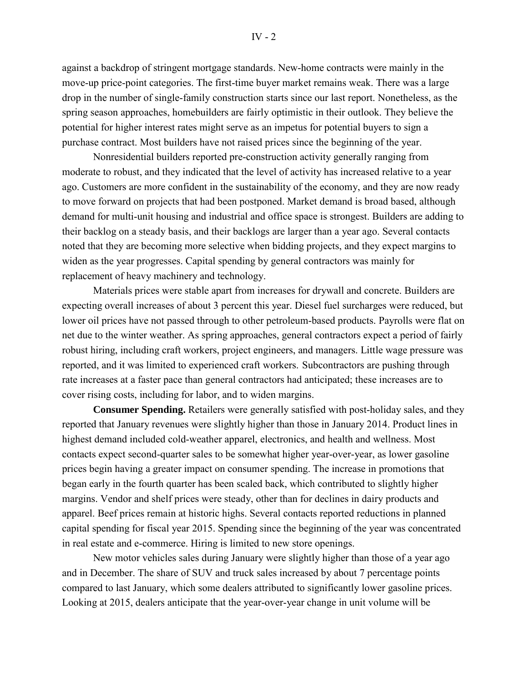#### IV - 2

against a backdrop of stringent mortgage standards. New-home contracts were mainly in the move-up price-point categories. The first-time buyer market remains weak. There was a large drop in the number of single-family construction starts since our last report. Nonetheless, as the spring season approaches, homebuilders are fairly optimistic in their outlook. They believe the potential for higher interest rates might serve as an impetus for potential buyers to sign a purchase contract. Most builders have not raised prices since the beginning of the year.

Nonresidential builders reported pre-construction activity generally ranging from moderate to robust, and they indicated that the level of activity has increased relative to a year ago. Customers are more confident in the sustainability of the economy, and they are now ready to move forward on projects that had been postponed. Market demand is broad based, although demand for multi-unit housing and industrial and office space is strongest. Builders are adding to their backlog on a steady basis, and their backlogs are larger than a year ago. Several contacts noted that they are becoming more selective when bidding projects, and they expect margins to widen as the year progresses. Capital spending by general contractors was mainly for replacement of heavy machinery and technology.

Materials prices were stable apart from increases for drywall and concrete. Builders are expecting overall increases of about 3 percent this year. Diesel fuel surcharges were reduced, but lower oil prices have not passed through to other petroleum-based products. Payrolls were flat on net due to the winter weather. As spring approaches, general contractors expect a period of fairly robust hiring, including craft workers, project engineers, and managers. Little wage pressure was reported, and it was limited to experienced craft workers. Subcontractors are pushing through rate increases at a faster pace than general contractors had anticipated; these increases are to cover rising costs, including for labor, and to widen margins.

**Consumer Spending.** Retailers were generally satisfied with post-holiday sales, and they reported that January revenues were slightly higher than those in January 2014. Product lines in highest demand included cold-weather apparel, electronics, and health and wellness. Most contacts expect second-quarter sales to be somewhat higher year-over-year, as lower gasoline prices begin having a greater impact on consumer spending. The increase in promotions that began early in the fourth quarter has been scaled back, which contributed to slightly higher margins. Vendor and shelf prices were steady, other than for declines in dairy products and apparel. Beef prices remain at historic highs. Several contacts reported reductions in planned capital spending for fiscal year 2015. Spending since the beginning of the year was concentrated in real estate and e-commerce. Hiring is limited to new store openings.

New motor vehicles sales during January were slightly higher than those of a year ago and in December. The share of SUV and truck sales increased by about 7 percentage points compared to last January, which some dealers attributed to significantly lower gasoline prices. Looking at 2015, dealers anticipate that the year-over-year change in unit volume will be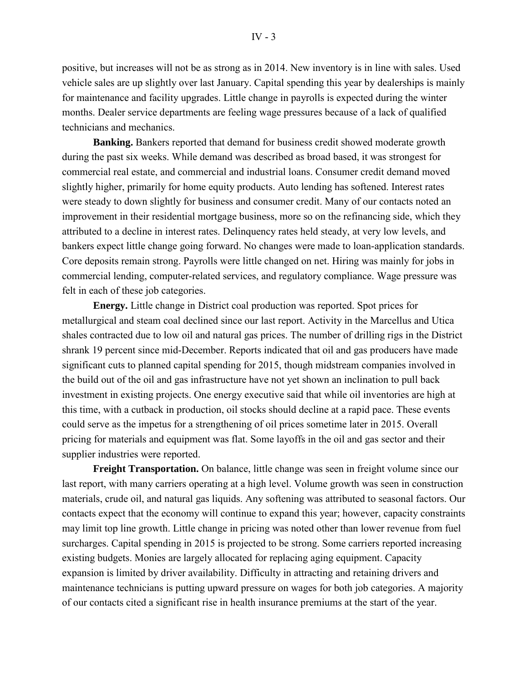positive, but increases will not be as strong as in 2014. New inventory is in line with sales. Used vehicle sales are up slightly over last January. Capital spending this year by dealerships is mainly for maintenance and facility upgrades. Little change in payrolls is expected during the winter months. Dealer service departments are feeling wage pressures because of a lack of qualified technicians and mechanics.

**Banking.** Bankers reported that demand for business credit showed moderate growth during the past six weeks. While demand was described as broad based, it was strongest for commercial real estate, and commercial and industrial loans. Consumer credit demand moved slightly higher, primarily for home equity products. Auto lending has softened. Interest rates were steady to down slightly for business and consumer credit. Many of our contacts noted an improvement in their residential mortgage business, more so on the refinancing side, which they attributed to a decline in interest rates. Delinquency rates held steady, at very low levels, and bankers expect little change going forward. No changes were made to loan-application standards. Core deposits remain strong. Payrolls were little changed on net. Hiring was mainly for jobs in commercial lending, computer-related services, and regulatory compliance. Wage pressure was felt in each of these job categories.

**Energy.** Little change in District coal production was reported. Spot prices for metallurgical and steam coal declined since our last report. Activity in the Marcellus and Utica shales contracted due to low oil and natural gas prices. The number of drilling rigs in the District shrank 19 percent since mid-December. Reports indicated that oil and gas producers have made significant cuts to planned capital spending for 2015, though midstream companies involved in the build out of the oil and gas infrastructure have not yet shown an inclination to pull back investment in existing projects. One energy executive said that while oil inventories are high at this time, with a cutback in production, oil stocks should decline at a rapid pace. These events could serve as the impetus for a strengthening of oil prices sometime later in 2015. Overall pricing for materials and equipment was flat. Some layoffs in the oil and gas sector and their supplier industries were reported.

**Freight Transportation.** On balance, little change was seen in freight volume since our last report, with many carriers operating at a high level. Volume growth was seen in construction materials, crude oil, and natural gas liquids. Any softening was attributed to seasonal factors. Our contacts expect that the economy will continue to expand this year; however, capacity constraints may limit top line growth. Little change in pricing was noted other than lower revenue from fuel surcharges. Capital spending in 2015 is projected to be strong. Some carriers reported increasing existing budgets. Monies are largely allocated for replacing aging equipment. Capacity expansion is limited by driver availability. Difficulty in attracting and retaining drivers and maintenance technicians is putting upward pressure on wages for both job categories. A majority of our contacts cited a significant rise in health insurance premiums at the start of the year.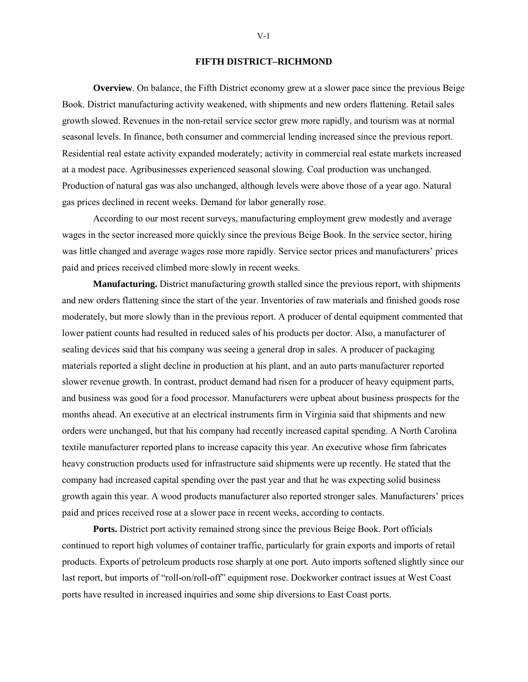#### **FIFTH DISTRICT–RICHMOND**

**Overview**. On balance, the Fifth District economy grew at a slower pace since the previous Beige Book. District manufacturing activity weakened, with shipments and new orders flattening. Retail sales growth slowed. Revenues in the non-retail service sector grew more rapidly, and tourism was at normal seasonal levels. In finance, both consumer and commercial lending increased since the previous report. Residential real estate activity expanded moderately; activity in commercial real estate markets increased at a modest pace. Agribusinesses experienced seasonal slowing. Coal production was unchanged. Production of natural gas was also unchanged, although levels were above those of a year ago. Natural gas prices declined in recent weeks. Demand for labor generally rose.

According to our most recent surveys, manufacturing employment grew modestly and average wages in the sector increased more quickly since the previous Beige Book. In the service sector, hiring was little changed and average wages rose more rapidly. Service sector prices and manufacturers' prices paid and prices received climbed more slowly in recent weeks.

**Manufacturing.** District manufacturing growth stalled since the previous report, with shipments and new orders flattening since the start of the year. Inventories of raw materials and finished goods rose moderately, but more slowly than in the previous report. A producer of dental equipment commented that lower patient counts had resulted in reduced sales of his products per doctor. Also, a manufacturer of sealing devices said that his company was seeing a general drop in sales. A producer of packaging materials reported a slight decline in production at his plant, and an auto parts manufacturer reported slower revenue growth. In contrast, product demand had risen for a producer of heavy equipment parts, and business was good for a food processor. Manufacturers were upbeat about business prospects for the months ahead. An executive at an electrical instruments firm in Virginia said that shipments and new orders were unchanged, but that his company had recently increased capital spending. A North Carolina textile manufacturer reported plans to increase capacity this year. An executive whose firm fabricates heavy construction products used for infrastructure said shipments were up recently. He stated that the company had increased capital spending over the past year and that he was expecting solid business growth again this year. A wood products manufacturer also reported stronger sales. Manufacturers' prices paid and prices received rose at a slower pace in recent weeks, according to contacts.

**Ports.** District port activity remained strong since the previous Beige Book. Port officials continued to report high volumes of container traffic, particularly for grain exports and imports of retail products. Exports of petroleum products rose sharply at one port. Auto imports softened slightly since our last report, but imports of "roll-on/roll-off" equipment rose. Dockworker contract issues at West Coast ports have resulted in increased inquiries and some ship diversions to East Coast ports.

V-1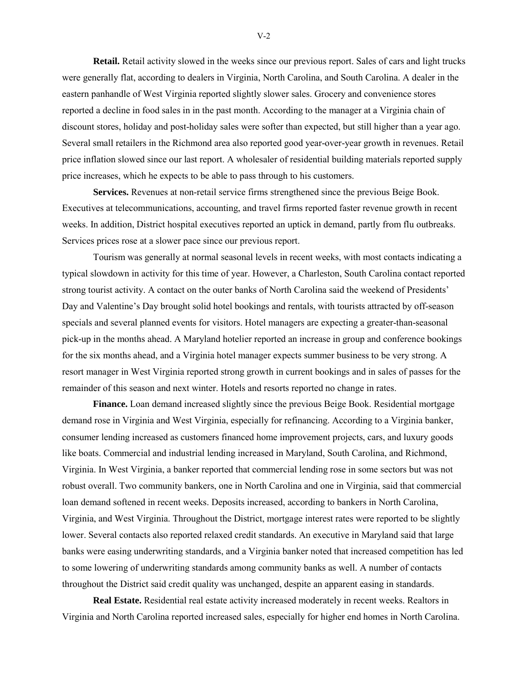**Retail.** Retail activity slowed in the weeks since our previous report. Sales of cars and light trucks were generally flat, according to dealers in Virginia, North Carolina, and South Carolina. A dealer in the eastern panhandle of West Virginia reported slightly slower sales. Grocery and convenience stores reported a decline in food sales in in the past month. According to the manager at a Virginia chain of discount stores, holiday and post-holiday sales were softer than expected, but still higher than a year ago. Several small retailers in the Richmond area also reported good year-over-year growth in revenues. Retail price inflation slowed since our last report. A wholesaler of residential building materials reported supply price increases, which he expects to be able to pass through to his customers.

**Services.** Revenues at non-retail service firms strengthened since the previous Beige Book. Executives at telecommunications, accounting, and travel firms reported faster revenue growth in recent weeks. In addition, District hospital executives reported an uptick in demand, partly from flu outbreaks. Services prices rose at a slower pace since our previous report.

Tourism was generally at normal seasonal levels in recent weeks, with most contacts indicating a typical slowdown in activity for this time of year. However, a Charleston, South Carolina contact reported strong tourist activity. A contact on the outer banks of North Carolina said the weekend of Presidents' Day and Valentine's Day brought solid hotel bookings and rentals, with tourists attracted by off-season specials and several planned events for visitors. Hotel managers are expecting a greater-than-seasonal pick-up in the months ahead. A Maryland hotelier reported an increase in group and conference bookings for the six months ahead, and a Virginia hotel manager expects summer business to be very strong. A resort manager in West Virginia reported strong growth in current bookings and in sales of passes for the remainder of this season and next winter. Hotels and resorts reported no change in rates.

**Finance.** Loan demand increased slightly since the previous Beige Book. Residential mortgage demand rose in Virginia and West Virginia, especially for refinancing. According to a Virginia banker, consumer lending increased as customers financed home improvement projects, cars, and luxury goods like boats. Commercial and industrial lending increased in Maryland, South Carolina, and Richmond, Virginia. In West Virginia, a banker reported that commercial lending rose in some sectors but was not robust overall. Two community bankers, one in North Carolina and one in Virginia, said that commercial loan demand softened in recent weeks. Deposits increased, according to bankers in North Carolina, Virginia, and West Virginia. Throughout the District, mortgage interest rates were reported to be slightly lower. Several contacts also reported relaxed credit standards. An executive in Maryland said that large banks were easing underwriting standards, and a Virginia banker noted that increased competition has led to some lowering of underwriting standards among community banks as well. A number of contacts throughout the District said credit quality was unchanged, despite an apparent easing in standards.

**Real Estate.** Residential real estate activity increased moderately in recent weeks. Realtors in Virginia and North Carolina reported increased sales, especially for higher end homes in North Carolina.

V-2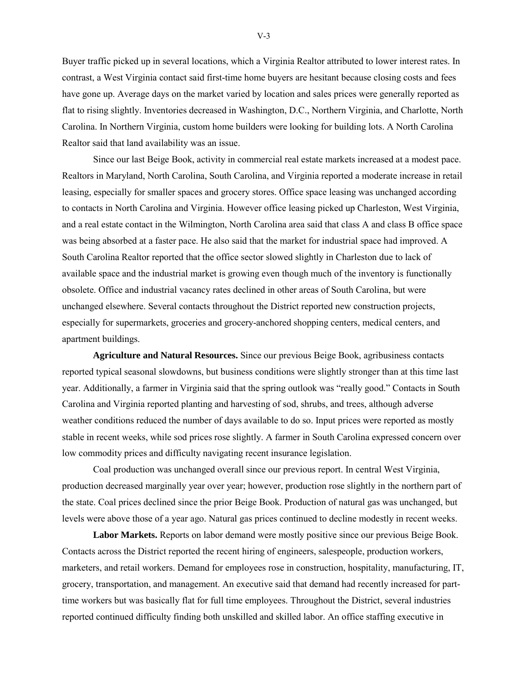Buyer traffic picked up in several locations, which a Virginia Realtor attributed to lower interest rates. In contrast, a West Virginia contact said first-time home buyers are hesitant because closing costs and fees have gone up. Average days on the market varied by location and sales prices were generally reported as flat to rising slightly. Inventories decreased in Washington, D.C., Northern Virginia, and Charlotte, North Carolina. In Northern Virginia, custom home builders were looking for building lots. A North Carolina Realtor said that land availability was an issue.

Since our last Beige Book, activity in commercial real estate markets increased at a modest pace. Realtors in Maryland, North Carolina, South Carolina, and Virginia reported a moderate increase in retail leasing, especially for smaller spaces and grocery stores. Office space leasing was unchanged according to contacts in North Carolina and Virginia. However office leasing picked up Charleston, West Virginia, and a real estate contact in the Wilmington, North Carolina area said that class A and class B office space was being absorbed at a faster pace. He also said that the market for industrial space had improved. A South Carolina Realtor reported that the office sector slowed slightly in Charleston due to lack of available space and the industrial market is growing even though much of the inventory is functionally obsolete. Office and industrial vacancy rates declined in other areas of South Carolina, but were unchanged elsewhere. Several contacts throughout the District reported new construction projects, especially for supermarkets, groceries and grocery-anchored shopping centers, medical centers, and apartment buildings.

**Agriculture and Natural Resources.** Since our previous Beige Book, agribusiness contacts reported typical seasonal slowdowns, but business conditions were slightly stronger than at this time last year. Additionally, a farmer in Virginia said that the spring outlook was "really good." Contacts in South Carolina and Virginia reported planting and harvesting of sod, shrubs, and trees, although adverse weather conditions reduced the number of days available to do so. Input prices were reported as mostly stable in recent weeks, while sod prices rose slightly. A farmer in South Carolina expressed concern over low commodity prices and difficulty navigating recent insurance legislation.

Coal production was unchanged overall since our previous report. In central West Virginia, production decreased marginally year over year; however, production rose slightly in the northern part of the state. Coal prices declined since the prior Beige Book. Production of natural gas was unchanged, but levels were above those of a year ago. Natural gas prices continued to decline modestly in recent weeks.

**Labor Markets.** Reports on labor demand were mostly positive since our previous Beige Book. Contacts across the District reported the recent hiring of engineers, salespeople, production workers, marketers, and retail workers. Demand for employees rose in construction, hospitality, manufacturing, IT, grocery, transportation, and management. An executive said that demand had recently increased for parttime workers but was basically flat for full time employees. Throughout the District, several industries reported continued difficulty finding both unskilled and skilled labor. An office staffing executive in

V-3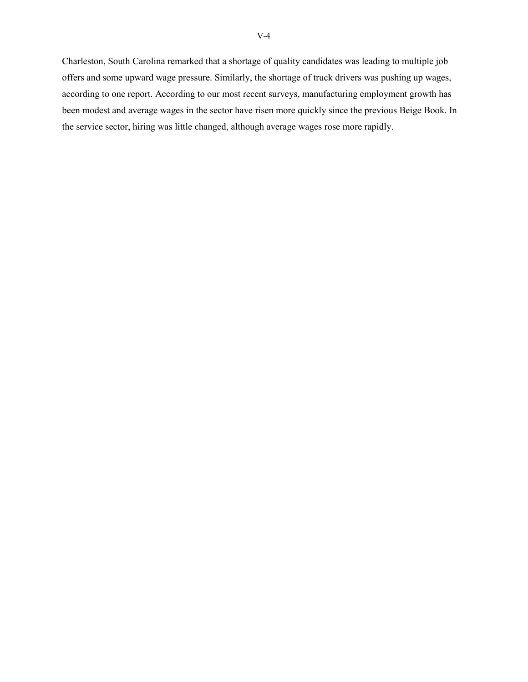Charleston, South Carolina remarked that a shortage of quality candidates was leading to multiple job offers and some upward wage pressure. Similarly, the shortage of truck drivers was pushing up wages, according to one report. According to our most recent surveys, manufacturing employment growth has been modest and average wages in the sector have risen more quickly since the previous Beige Book. In the service sector, hiring was little changed, although average wages rose more rapidly.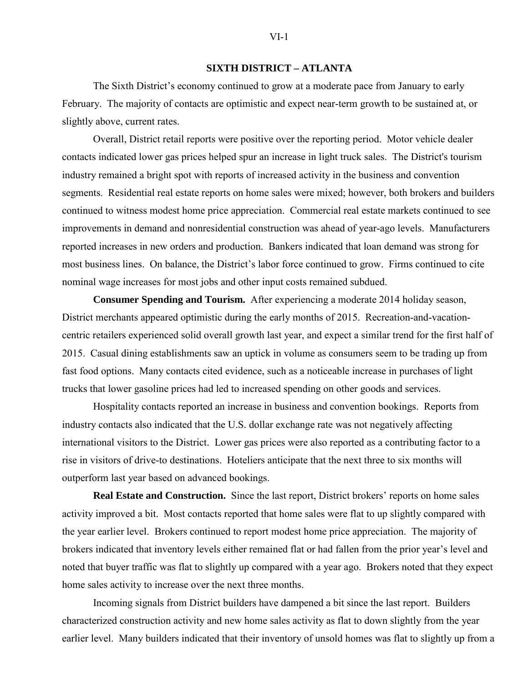## **SIXTH DISTRICT – ATLANTA**

The Sixth District's economy continued to grow at a moderate pace from January to early February. The majority of contacts are optimistic and expect near-term growth to be sustained at, or slightly above, current rates.

Overall, District retail reports were positive over the reporting period. Motor vehicle dealer contacts indicated lower gas prices helped spur an increase in light truck sales. The District's tourism industry remained a bright spot with reports of increased activity in the business and convention segments. Residential real estate reports on home sales were mixed; however, both brokers and builders continued to witness modest home price appreciation. Commercial real estate markets continued to see improvements in demand and nonresidential construction was ahead of year-ago levels. Manufacturers reported increases in new orders and production. Bankers indicated that loan demand was strong for most business lines. On balance, the District's labor force continued to grow. Firms continued to cite nominal wage increases for most jobs and other input costs remained subdued.

**Consumer Spending and Tourism.** After experiencing a moderate 2014 holiday season, District merchants appeared optimistic during the early months of 2015. Recreation-and-vacationcentric retailers experienced solid overall growth last year, and expect a similar trend for the first half of 2015. Casual dining establishments saw an uptick in volume as consumers seem to be trading up from fast food options. Many contacts cited evidence, such as a noticeable increase in purchases of light trucks that lower gasoline prices had led to increased spending on other goods and services.

Hospitality contacts reported an increase in business and convention bookings. Reports from industry contacts also indicated that the U.S. dollar exchange rate was not negatively affecting international visitors to the District. Lower gas prices were also reported as a contributing factor to a rise in visitors of drive-to destinations. Hoteliers anticipate that the next three to six months will outperform last year based on advanced bookings.

**Real Estate and Construction.** Since the last report, District brokers' reports on home sales activity improved a bit. Most contacts reported that home sales were flat to up slightly compared with the year earlier level. Brokers continued to report modest home price appreciation. The majority of brokers indicated that inventory levels either remained flat or had fallen from the prior year's level and noted that buyer traffic was flat to slightly up compared with a year ago. Brokers noted that they expect home sales activity to increase over the next three months.

Incoming signals from District builders have dampened a bit since the last report. Builders characterized construction activity and new home sales activity as flat to down slightly from the year earlier level. Many builders indicated that their inventory of unsold homes was flat to slightly up from a

#### $VI-1$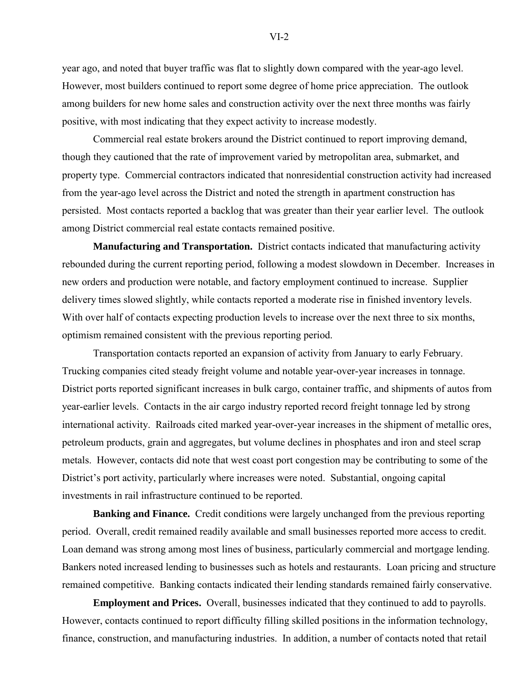year ago, and noted that buyer traffic was flat to slightly down compared with the year-ago level. However, most builders continued to report some degree of home price appreciation. The outlook among builders for new home sales and construction activity over the next three months was fairly positive, with most indicating that they expect activity to increase modestly.

Commercial real estate brokers around the District continued to report improving demand, though they cautioned that the rate of improvement varied by metropolitan area, submarket, and property type. Commercial contractors indicated that nonresidential construction activity had increased from the year-ago level across the District and noted the strength in apartment construction has persisted. Most contacts reported a backlog that was greater than their year earlier level. The outlook among District commercial real estate contacts remained positive.

**Manufacturing and Transportation.** District contacts indicated that manufacturing activity rebounded during the current reporting period, following a modest slowdown in December. Increases in new orders and production were notable, and factory employment continued to increase. Supplier delivery times slowed slightly, while contacts reported a moderate rise in finished inventory levels. With over half of contacts expecting production levels to increase over the next three to six months, optimism remained consistent with the previous reporting period.

Transportation contacts reported an expansion of activity from January to early February. Trucking companies cited steady freight volume and notable year-over-year increases in tonnage. District ports reported significant increases in bulk cargo, container traffic, and shipments of autos from year-earlier levels. Contacts in the air cargo industry reported record freight tonnage led by strong international activity. Railroads cited marked year-over-year increases in the shipment of metallic ores, petroleum products, grain and aggregates, but volume declines in phosphates and iron and steel scrap metals. However, contacts did note that west coast port congestion may be contributing to some of the District's port activity, particularly where increases were noted. Substantial, ongoing capital investments in rail infrastructure continued to be reported.

**Banking and Finance.** Credit conditions were largely unchanged from the previous reporting period. Overall, credit remained readily available and small businesses reported more access to credit. Loan demand was strong among most lines of business, particularly commercial and mortgage lending. Bankers noted increased lending to businesses such as hotels and restaurants. Loan pricing and structure remained competitive. Banking contacts indicated their lending standards remained fairly conservative.

**Employment and Prices.** Overall, businesses indicated that they continued to add to payrolls. However, contacts continued to report difficulty filling skilled positions in the information technology, finance, construction, and manufacturing industries. In addition, a number of contacts noted that retail

 $VI-2$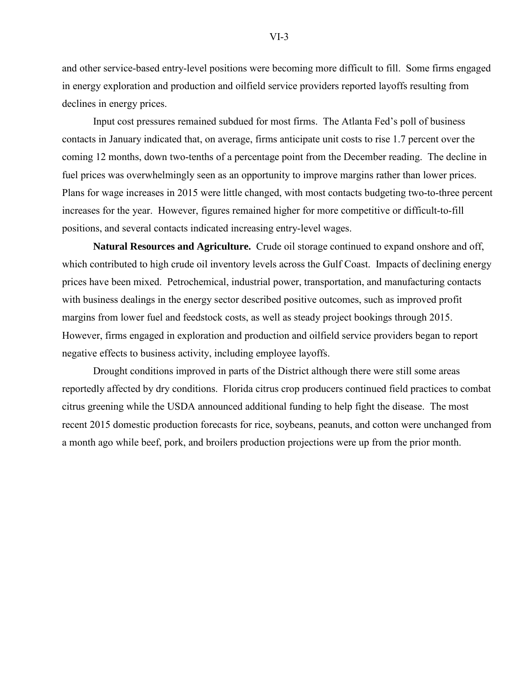and other service-based entry-level positions were becoming more difficult to fill. Some firms engaged in energy exploration and production and oilfield service providers reported layoffs resulting from declines in energy prices.

Input cost pressures remained subdued for most firms. The Atlanta Fed's poll of business contacts in January indicated that, on average, firms anticipate unit costs to rise 1.7 percent over the coming 12 months, down two-tenths of a percentage point from the December reading. The decline in fuel prices was overwhelmingly seen as an opportunity to improve margins rather than lower prices. Plans for wage increases in 2015 were little changed, with most contacts budgeting two-to-three percent increases for the year. However, figures remained higher for more competitive or difficult-to-fill positions, and several contacts indicated increasing entry-level wages.

**Natural Resources and Agriculture.** Crude oil storage continued to expand onshore and off, which contributed to high crude oil inventory levels across the Gulf Coast. Impacts of declining energy prices have been mixed. Petrochemical, industrial power, transportation, and manufacturing contacts with business dealings in the energy sector described positive outcomes, such as improved profit margins from lower fuel and feedstock costs, as well as steady project bookings through 2015. However, firms engaged in exploration and production and oilfield service providers began to report negative effects to business activity, including employee layoffs.

Drought conditions improved in parts of the District although there were still some areas reportedly affected by dry conditions. Florida citrus crop producers continued field practices to combat citrus greening while the USDA announced additional funding to help fight the disease. The most recent 2015 domestic production forecasts for rice, soybeans, peanuts, and cotton were unchanged from a month ago while beef, pork, and broilers production projections were up from the prior month.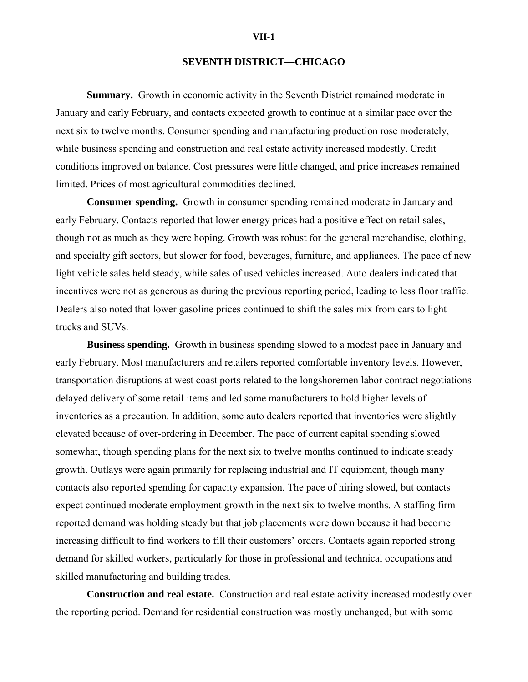## **SEVENTH DISTRICT—CHICAGO**

**Summary.** Growth in economic activity in the Seventh District remained moderate in January and early February, and contacts expected growth to continue at a similar pace over the next six to twelve months. Consumer spending and manufacturing production rose moderately, while business spending and construction and real estate activity increased modestly. Credit conditions improved on balance. Cost pressures were little changed, and price increases remained limited. Prices of most agricultural commodities declined.

**Consumer spending.** Growth in consumer spending remained moderate in January and early February. Contacts reported that lower energy prices had a positive effect on retail sales, though not as much as they were hoping. Growth was robust for the general merchandise, clothing, and specialty gift sectors, but slower for food, beverages, furniture, and appliances. The pace of new light vehicle sales held steady, while sales of used vehicles increased. Auto dealers indicated that incentives were not as generous as during the previous reporting period, leading to less floor traffic. Dealers also noted that lower gasoline prices continued to shift the sales mix from cars to light trucks and SUVs.

**Business spending.** Growth in business spending slowed to a modest pace in January and early February. Most manufacturers and retailers reported comfortable inventory levels. However, transportation disruptions at west coast ports related to the longshoremen labor contract negotiations delayed delivery of some retail items and led some manufacturers to hold higher levels of inventories as a precaution. In addition, some auto dealers reported that inventories were slightly elevated because of over-ordering in December. The pace of current capital spending slowed somewhat, though spending plans for the next six to twelve months continued to indicate steady growth. Outlays were again primarily for replacing industrial and IT equipment, though many contacts also reported spending for capacity expansion. The pace of hiring slowed, but contacts expect continued moderate employment growth in the next six to twelve months. A staffing firm reported demand was holding steady but that job placements were down because it had become increasing difficult to find workers to fill their customers' orders. Contacts again reported strong demand for skilled workers, particularly for those in professional and technical occupations and skilled manufacturing and building trades.

**Construction and real estate.** Construction and real estate activity increased modestly over the reporting period. Demand for residential construction was mostly unchanged, but with some

#### **VII-1**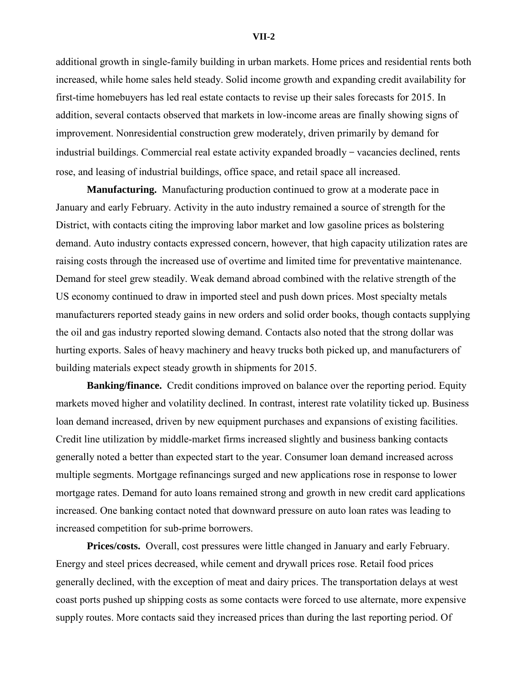#### **VII-2**

additional growth in single-family building in urban markets. Home prices and residential rents both increased, while home sales held steady. Solid income growth and expanding credit availability for first-time homebuyers has led real estate contacts to revise up their sales forecasts for 2015. In addition, several contacts observed that markets in low-income areas are finally showing signs of improvement. Nonresidential construction grew moderately, driven primarily by demand for industrial buildings. Commercial real estate activity expanded broadly − vacancies declined, rents rose, and leasing of industrial buildings, office space, and retail space all increased.

**Manufacturing.** Manufacturing production continued to grow at a moderate pace in January and early February. Activity in the auto industry remained a source of strength for the District, with contacts citing the improving labor market and low gasoline prices as bolstering demand. Auto industry contacts expressed concern, however, that high capacity utilization rates are raising costs through the increased use of overtime and limited time for preventative maintenance. Demand for steel grew steadily. Weak demand abroad combined with the relative strength of the US economy continued to draw in imported steel and push down prices. Most specialty metals manufacturers reported steady gains in new orders and solid order books, though contacts supplying the oil and gas industry reported slowing demand. Contacts also noted that the strong dollar was hurting exports. Sales of heavy machinery and heavy trucks both picked up, and manufacturers of building materials expect steady growth in shipments for 2015.

**Banking/finance.** Credit conditions improved on balance over the reporting period. Equity markets moved higher and volatility declined. In contrast, interest rate volatility ticked up. Business loan demand increased, driven by new equipment purchases and expansions of existing facilities. Credit line utilization by middle-market firms increased slightly and business banking contacts generally noted a better than expected start to the year. Consumer loan demand increased across multiple segments. Mortgage refinancings surged and new applications rose in response to lower mortgage rates. Demand for auto loans remained strong and growth in new credit card applications increased. One banking contact noted that downward pressure on auto loan rates was leading to increased competition for sub-prime borrowers.

**Prices/costs.** Overall, cost pressures were little changed in January and early February. Energy and steel prices decreased, while cement and drywall prices rose. Retail food prices generally declined, with the exception of meat and dairy prices. The transportation delays at west coast ports pushed up shipping costs as some contacts were forced to use alternate, more expensive supply routes. More contacts said they increased prices than during the last reporting period. Of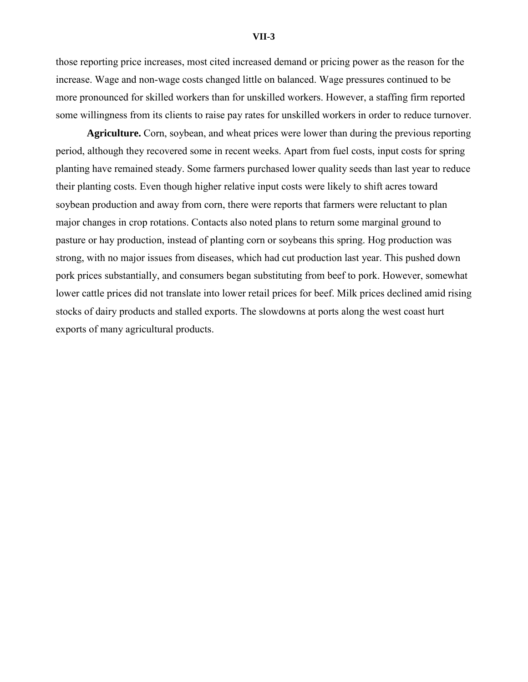#### **VII-3**

those reporting price increases, most cited increased demand or pricing power as the reason for the increase. Wage and non-wage costs changed little on balanced. Wage pressures continued to be more pronounced for skilled workers than for unskilled workers. However, a staffing firm reported some willingness from its clients to raise pay rates for unskilled workers in order to reduce turnover.

**Agriculture.** Corn, soybean, and wheat prices were lower than during the previous reporting period, although they recovered some in recent weeks. Apart from fuel costs, input costs for spring planting have remained steady. Some farmers purchased lower quality seeds than last year to reduce their planting costs. Even though higher relative input costs were likely to shift acres toward soybean production and away from corn, there were reports that farmers were reluctant to plan major changes in crop rotations. Contacts also noted plans to return some marginal ground to pasture or hay production, instead of planting corn or soybeans this spring. Hog production was strong, with no major issues from diseases, which had cut production last year. This pushed down pork prices substantially, and consumers began substituting from beef to pork. However, somewhat lower cattle prices did not translate into lower retail prices for beef. Milk prices declined amid rising stocks of dairy products and stalled exports. The slowdowns at ports along the west coast hurt exports of many agricultural products.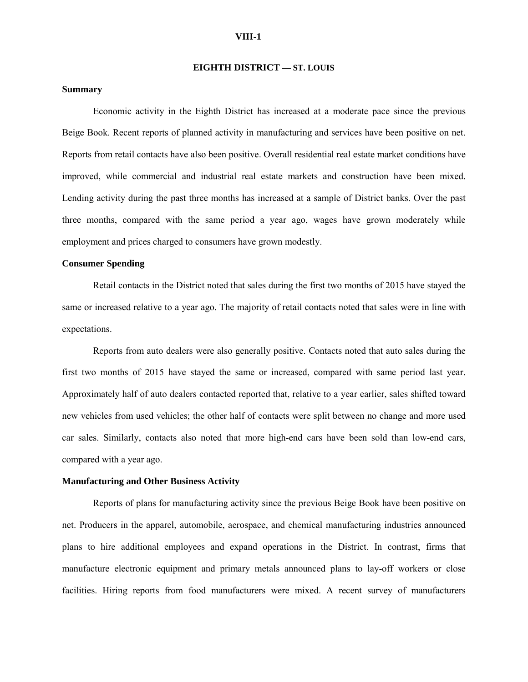#### **VIII-1**

#### **EIGHTH DISTRICT — ST. LOUIS**

#### **Summary**

Economic activity in the Eighth District has increased at a moderate pace since the previous Beige Book. Recent reports of planned activity in manufacturing and services have been positive on net. Reports from retail contacts have also been positive. Overall residential real estate market conditions have improved, while commercial and industrial real estate markets and construction have been mixed. Lending activity during the past three months has increased at a sample of District banks. Over the past three months, compared with the same period a year ago, wages have grown moderately while employment and prices charged to consumers have grown modestly.

## **Consumer Spending**

Retail contacts in the District noted that sales during the first two months of 2015 have stayed the same or increased relative to a year ago. The majority of retail contacts noted that sales were in line with expectations.

Reports from auto dealers were also generally positive. Contacts noted that auto sales during the first two months of 2015 have stayed the same or increased, compared with same period last year. Approximately half of auto dealers contacted reported that, relative to a year earlier, sales shifted toward new vehicles from used vehicles; the other half of contacts were split between no change and more used car sales. Similarly, contacts also noted that more high-end cars have been sold than low-end cars, compared with a year ago.

#### **Manufacturing and Other Business Activity**

Reports of plans for manufacturing activity since the previous Beige Book have been positive on net. Producers in the apparel, automobile, aerospace, and chemical manufacturing industries announced plans to hire additional employees and expand operations in the District. In contrast, firms that manufacture electronic equipment and primary metals announced plans to lay-off workers or close facilities. Hiring reports from food manufacturers were mixed. A recent survey of manufacturers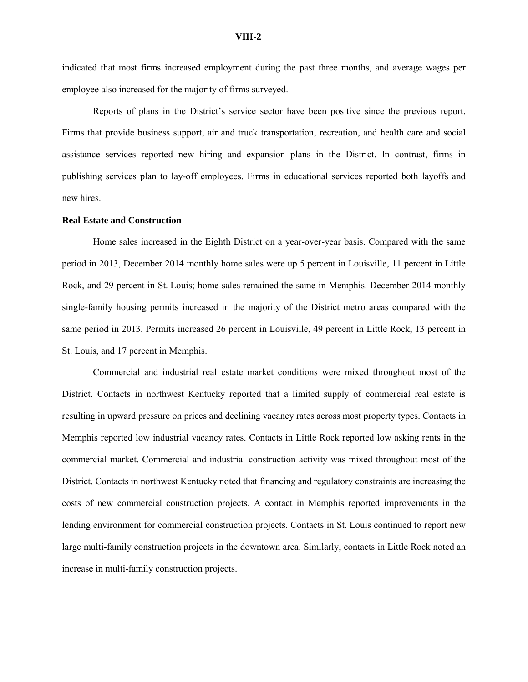indicated that most firms increased employment during the past three months, and average wages per employee also increased for the majority of firms surveyed.

Reports of plans in the District's service sector have been positive since the previous report. Firms that provide business support, air and truck transportation, recreation, and health care and social assistance services reported new hiring and expansion plans in the District. In contrast, firms in publishing services plan to lay-off employees. Firms in educational services reported both layoffs and new hires.

#### **Real Estate and Construction**

Home sales increased in the Eighth District on a year-over-year basis. Compared with the same period in 2013, December 2014 monthly home sales were up 5 percent in Louisville, 11 percent in Little Rock, and 29 percent in St. Louis; home sales remained the same in Memphis. December 2014 monthly single-family housing permits increased in the majority of the District metro areas compared with the same period in 2013. Permits increased 26 percent in Louisville, 49 percent in Little Rock, 13 percent in St. Louis, and 17 percent in Memphis.

Commercial and industrial real estate market conditions were mixed throughout most of the District. Contacts in northwest Kentucky reported that a limited supply of commercial real estate is resulting in upward pressure on prices and declining vacancy rates across most property types. Contacts in Memphis reported low industrial vacancy rates. Contacts in Little Rock reported low asking rents in the commercial market. Commercial and industrial construction activity was mixed throughout most of the District. Contacts in northwest Kentucky noted that financing and regulatory constraints are increasing the costs of new commercial construction projects. A contact in Memphis reported improvements in the lending environment for commercial construction projects. Contacts in St. Louis continued to report new large multi-family construction projects in the downtown area. Similarly, contacts in Little Rock noted an increase in multi-family construction projects.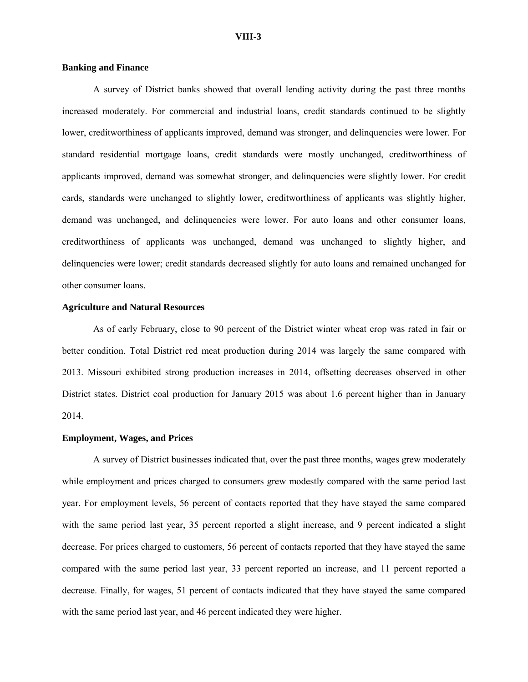#### **Banking and Finance**

A survey of District banks showed that overall lending activity during the past three months increased moderately. For commercial and industrial loans, credit standards continued to be slightly lower, creditworthiness of applicants improved, demand was stronger, and delinquencies were lower. For standard residential mortgage loans, credit standards were mostly unchanged, creditworthiness of applicants improved, demand was somewhat stronger, and delinquencies were slightly lower. For credit cards, standards were unchanged to slightly lower, creditworthiness of applicants was slightly higher, demand was unchanged, and delinquencies were lower. For auto loans and other consumer loans, creditworthiness of applicants was unchanged, demand was unchanged to slightly higher, and delinquencies were lower; credit standards decreased slightly for auto loans and remained unchanged for other consumer loans.

## **Agriculture and Natural Resources**

As of early February, close to 90 percent of the District winter wheat crop was rated in fair or better condition. Total District red meat production during 2014 was largely the same compared with 2013. Missouri exhibited strong production increases in 2014, offsetting decreases observed in other District states. District coal production for January 2015 was about 1.6 percent higher than in January 2014.

#### **Employment, Wages, and Prices**

A survey of District businesses indicated that, over the past three months, wages grew moderately while employment and prices charged to consumers grew modestly compared with the same period last year. For employment levels, 56 percent of contacts reported that they have stayed the same compared with the same period last year, 35 percent reported a slight increase, and 9 percent indicated a slight decrease. For prices charged to customers, 56 percent of contacts reported that they have stayed the same compared with the same period last year, 33 percent reported an increase, and 11 percent reported a decrease. Finally, for wages, 51 percent of contacts indicated that they have stayed the same compared with the same period last year, and 46 percent indicated they were higher.

#### **VIII-3**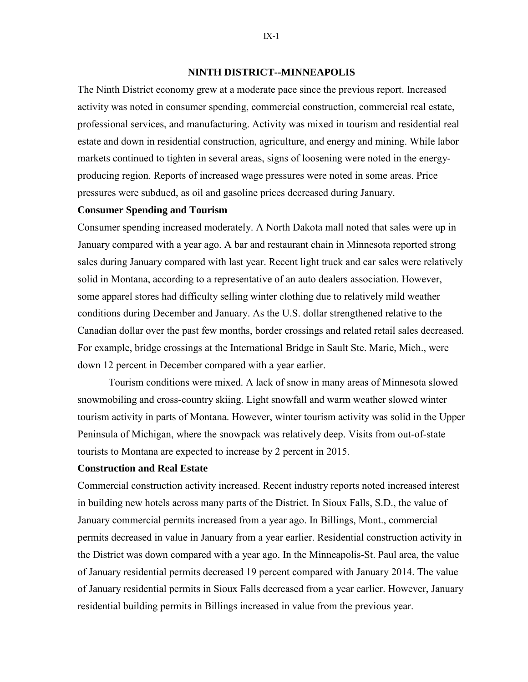## **NINTH DISTRICT--MINNEAPOLIS**

The Ninth District economy grew at a moderate pace since the previous report. Increased activity was noted in consumer spending, commercial construction, commercial real estate, professional services, and manufacturing. Activity was mixed in tourism and residential real estate and down in residential construction, agriculture, and energy and mining. While labor markets continued to tighten in several areas, signs of loosening were noted in the energyproducing region. Reports of increased wage pressures were noted in some areas. Price pressures were subdued, as oil and gasoline prices decreased during January.

## **Consumer Spending and Tourism**

Consumer spending increased moderately. A North Dakota mall noted that sales were up in January compared with a year ago. A bar and restaurant chain in Minnesota reported strong sales during January compared with last year. Recent light truck and car sales were relatively solid in Montana, according to a representative of an auto dealers association. However, some apparel stores had difficulty selling winter clothing due to relatively mild weather conditions during December and January. As the U.S. dollar strengthened relative to the Canadian dollar over the past few months, border crossings and related retail sales decreased. For example, bridge crossings at the International Bridge in Sault Ste. Marie, Mich., were down 12 percent in December compared with a year earlier.

 Tourism conditions were mixed. A lack of snow in many areas of Minnesota slowed snowmobiling and cross-country skiing. Light snowfall and warm weather slowed winter tourism activity in parts of Montana. However, winter tourism activity was solid in the Upper Peninsula of Michigan, where the snowpack was relatively deep. Visits from out-of-state tourists to Montana are expected to increase by 2 percent in 2015.

## **Construction and Real Estate**

Commercial construction activity increased. Recent industry reports noted increased interest in building new hotels across many parts of the District. In Sioux Falls, S.D., the value of January commercial permits increased from a year ago. In Billings, Mont., commercial permits decreased in value in January from a year earlier. Residential construction activity in the District was down compared with a year ago. In the Minneapolis-St. Paul area, the value of January residential permits decreased 19 percent compared with January 2014. The value of January residential permits in Sioux Falls decreased from a year earlier. However, January residential building permits in Billings increased in value from the previous year.

IX-1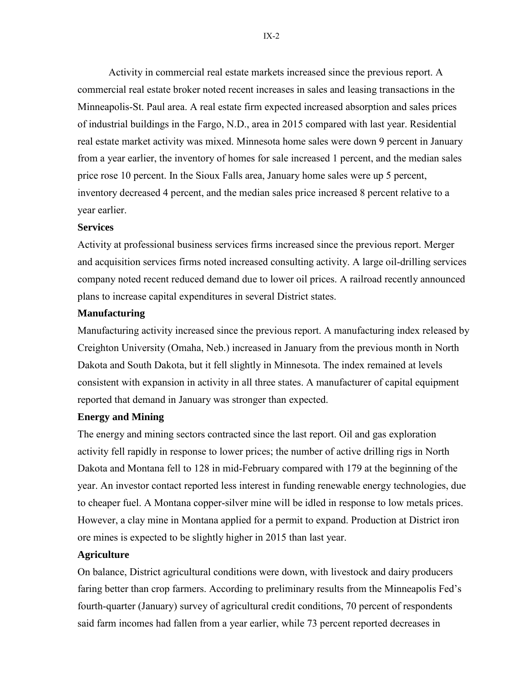Activity in commercial real estate markets increased since the previous report. A commercial real estate broker noted recent increases in sales and leasing transactions in the Minneapolis-St. Paul area. A real estate firm expected increased absorption and sales prices of industrial buildings in the Fargo, N.D., area in 2015 compared with last year. Residential real estate market activity was mixed. Minnesota home sales were down 9 percent in January from a year earlier, the inventory of homes for sale increased 1 percent, and the median sales price rose 10 percent. In the Sioux Falls area, January home sales were up 5 percent, inventory decreased 4 percent, and the median sales price increased 8 percent relative to a year earlier.

## **Services**

Activity at professional business services firms increased since the previous report. Merger and acquisition services firms noted increased consulting activity. A large oil-drilling services company noted recent reduced demand due to lower oil prices. A railroad recently announced plans to increase capital expenditures in several District states.

## **Manufacturing**

Manufacturing activity increased since the previous report. A manufacturing index released by Creighton University (Omaha, Neb.) increased in January from the previous month in North Dakota and South Dakota, but it fell slightly in Minnesota. The index remained at levels consistent with expansion in activity in all three states. A manufacturer of capital equipment reported that demand in January was stronger than expected.

## **Energy and Mining**

The energy and mining sectors contracted since the last report. Oil and gas exploration activity fell rapidly in response to lower prices; the number of active drilling rigs in North Dakota and Montana fell to 128 in mid-February compared with 179 at the beginning of the year. An investor contact reported less interest in funding renewable energy technologies, due to cheaper fuel. A Montana copper-silver mine will be idled in response to low metals prices. However, a clay mine in Montana applied for a permit to expand. Production at District iron ore mines is expected to be slightly higher in 2015 than last year.

## **Agriculture**

On balance, District agricultural conditions were down, with livestock and dairy producers faring better than crop farmers. According to preliminary results from the Minneapolis Fed's fourth-quarter (January) survey of agricultural credit conditions, 70 percent of respondents said farm incomes had fallen from a year earlier, while 73 percent reported decreases in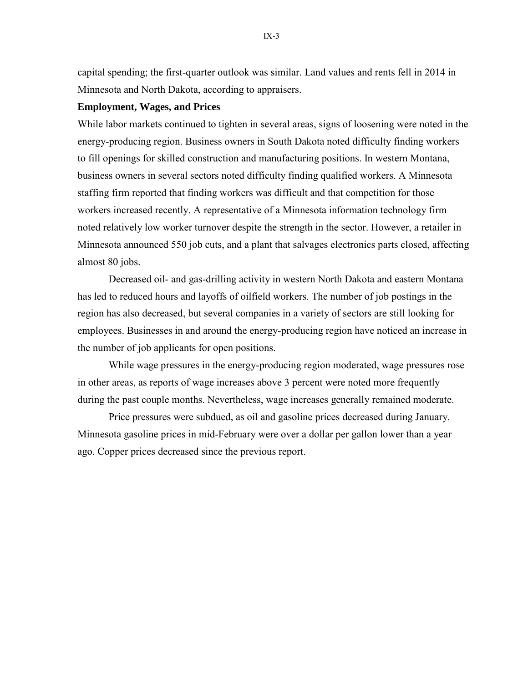capital spending; the first-quarter outlook was similar. Land values and rents fell in 2014 in Minnesota and North Dakota, according to appraisers.

## **Employment, Wages, and Prices**

While labor markets continued to tighten in several areas, signs of loosening were noted in the energy-producing region. Business owners in South Dakota noted difficulty finding workers to fill openings for skilled construction and manufacturing positions. In western Montana, business owners in several sectors noted difficulty finding qualified workers. A Minnesota staffing firm reported that finding workers was difficult and that competition for those workers increased recently. A representative of a Minnesota information technology firm noted relatively low worker turnover despite the strength in the sector. However, a retailer in Minnesota announced 550 job cuts, and a plant that salvages electronics parts closed, affecting almost 80 jobs.

Decreased oil- and gas-drilling activity in western North Dakota and eastern Montana has led to reduced hours and layoffs of oilfield workers. The number of job postings in the region has also decreased, but several companies in a variety of sectors are still looking for employees. Businesses in and around the energy-producing region have noticed an increase in the number of job applicants for open positions.

While wage pressures in the energy-producing region moderated, wage pressures rose in other areas, as reports of wage increases above 3 percent were noted more frequently during the past couple months. Nevertheless, wage increases generally remained moderate.

Price pressures were subdued, as oil and gasoline prices decreased during January. Minnesota gasoline prices in mid-February were over a dollar per gallon lower than a year ago. Copper prices decreased since the previous report.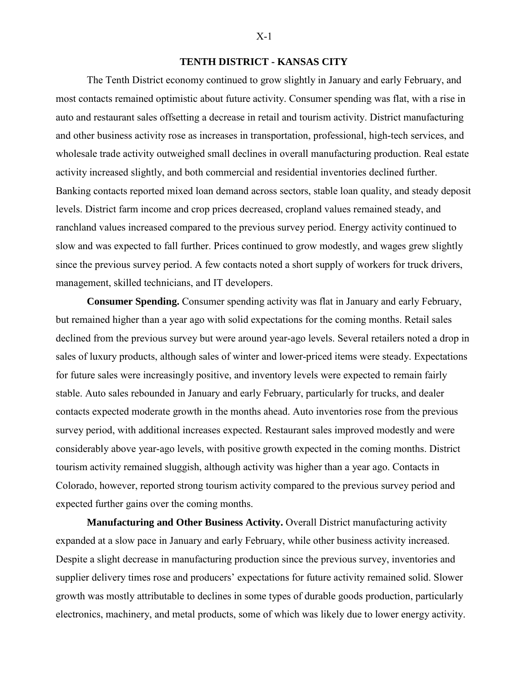## **TENTH DISTRICT - KANSAS CITY**

The Tenth District economy continued to grow slightly in January and early February, and most contacts remained optimistic about future activity. Consumer spending was flat, with a rise in auto and restaurant sales offsetting a decrease in retail and tourism activity. District manufacturing and other business activity rose as increases in transportation, professional, high-tech services, and wholesale trade activity outweighed small declines in overall manufacturing production. Real estate activity increased slightly, and both commercial and residential inventories declined further. Banking contacts reported mixed loan demand across sectors, stable loan quality, and steady deposit levels. District farm income and crop prices decreased, cropland values remained steady, and ranchland values increased compared to the previous survey period. Energy activity continued to slow and was expected to fall further. Prices continued to grow modestly, and wages grew slightly since the previous survey period. A few contacts noted a short supply of workers for truck drivers, management, skilled technicians, and IT developers.

**Consumer Spending.** Consumer spending activity was flat in January and early February, but remained higher than a year ago with solid expectations for the coming months. Retail sales declined from the previous survey but were around year-ago levels. Several retailers noted a drop in sales of luxury products, although sales of winter and lower-priced items were steady. Expectations for future sales were increasingly positive, and inventory levels were expected to remain fairly stable. Auto sales rebounded in January and early February, particularly for trucks, and dealer contacts expected moderate growth in the months ahead. Auto inventories rose from the previous survey period, with additional increases expected. Restaurant sales improved modestly and were considerably above year-ago levels, with positive growth expected in the coming months. District tourism activity remained sluggish, although activity was higher than a year ago. Contacts in Colorado, however, reported strong tourism activity compared to the previous survey period and expected further gains over the coming months.

**Manufacturing and Other Business Activity.** Overall District manufacturing activity expanded at a slow pace in January and early February, while other business activity increased. Despite a slight decrease in manufacturing production since the previous survey, inventories and supplier delivery times rose and producers' expectations for future activity remained solid. Slower growth was mostly attributable to declines in some types of durable goods production, particularly electronics, machinery, and metal products, some of which was likely due to lower energy activity.

#### X-1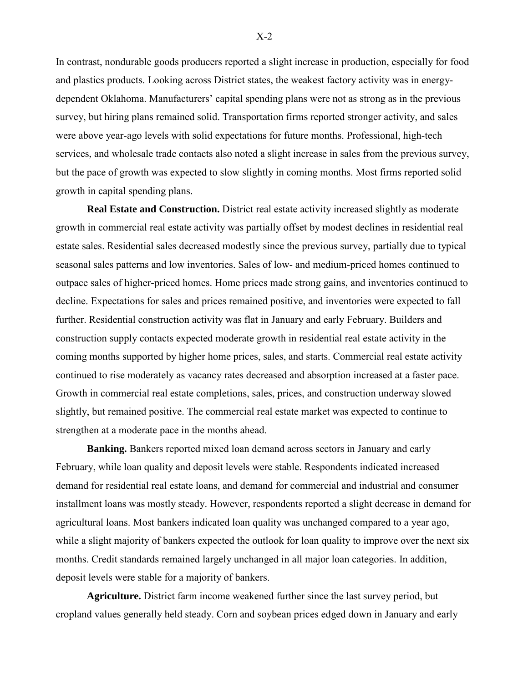In contrast, nondurable goods producers reported a slight increase in production, especially for food and plastics products. Looking across District states, the weakest factory activity was in energydependent Oklahoma. Manufacturers' capital spending plans were not as strong as in the previous survey, but hiring plans remained solid. Transportation firms reported stronger activity, and sales were above year-ago levels with solid expectations for future months. Professional, high-tech services, and wholesale trade contacts also noted a slight increase in sales from the previous survey, but the pace of growth was expected to slow slightly in coming months. Most firms reported solid growth in capital spending plans.

**Real Estate and Construction.** District real estate activity increased slightly as moderate growth in commercial real estate activity was partially offset by modest declines in residential real estate sales. Residential sales decreased modestly since the previous survey, partially due to typical seasonal sales patterns and low inventories. Sales of low- and medium-priced homes continued to outpace sales of higher-priced homes. Home prices made strong gains, and inventories continued to decline. Expectations for sales and prices remained positive, and inventories were expected to fall further. Residential construction activity was flat in January and early February. Builders and construction supply contacts expected moderate growth in residential real estate activity in the coming months supported by higher home prices, sales, and starts. Commercial real estate activity continued to rise moderately as vacancy rates decreased and absorption increased at a faster pace. Growth in commercial real estate completions, sales, prices, and construction underway slowed slightly, but remained positive. The commercial real estate market was expected to continue to strengthen at a moderate pace in the months ahead.

**Banking.** Bankers reported mixed loan demand across sectors in January and early February, while loan quality and deposit levels were stable. Respondents indicated increased demand for residential real estate loans, and demand for commercial and industrial and consumer installment loans was mostly steady. However, respondents reported a slight decrease in demand for agricultural loans. Most bankers indicated loan quality was unchanged compared to a year ago, while a slight majority of bankers expected the outlook for loan quality to improve over the next six months. Credit standards remained largely unchanged in all major loan categories. In addition, deposit levels were stable for a majority of bankers.

**Agriculture.** District farm income weakened further since the last survey period, but cropland values generally held steady. Corn and soybean prices edged down in January and early

X-2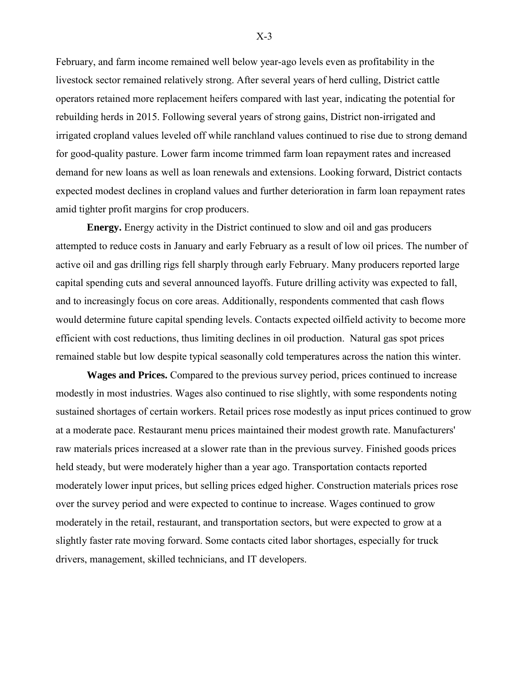February, and farm income remained well below year-ago levels even as profitability in the livestock sector remained relatively strong. After several years of herd culling, District cattle operators retained more replacement heifers compared with last year, indicating the potential for rebuilding herds in 2015. Following several years of strong gains, District non-irrigated and irrigated cropland values leveled off while ranchland values continued to rise due to strong demand for good-quality pasture. Lower farm income trimmed farm loan repayment rates and increased demand for new loans as well as loan renewals and extensions. Looking forward, District contacts expected modest declines in cropland values and further deterioration in farm loan repayment rates amid tighter profit margins for crop producers.

**Energy.** Energy activity in the District continued to slow and oil and gas producers attempted to reduce costs in January and early February as a result of low oil prices. The number of active oil and gas drilling rigs fell sharply through early February. Many producers reported large capital spending cuts and several announced layoffs. Future drilling activity was expected to fall, and to increasingly focus on core areas. Additionally, respondents commented that cash flows would determine future capital spending levels. Contacts expected oilfield activity to become more efficient with cost reductions, thus limiting declines in oil production. Natural gas spot prices remained stable but low despite typical seasonally cold temperatures across the nation this winter.

**Wages and Prices.** Compared to the previous survey period, prices continued to increase modestly in most industries. Wages also continued to rise slightly, with some respondents noting sustained shortages of certain workers. Retail prices rose modestly as input prices continued to grow at a moderate pace. Restaurant menu prices maintained their modest growth rate. Manufacturers' raw materials prices increased at a slower rate than in the previous survey. Finished goods prices held steady, but were moderately higher than a year ago. Transportation contacts reported moderately lower input prices, but selling prices edged higher. Construction materials prices rose over the survey period and were expected to continue to increase. Wages continued to grow moderately in the retail, restaurant, and transportation sectors, but were expected to grow at a slightly faster rate moving forward. Some contacts cited labor shortages, especially for truck drivers, management, skilled technicians, and IT developers.

X-3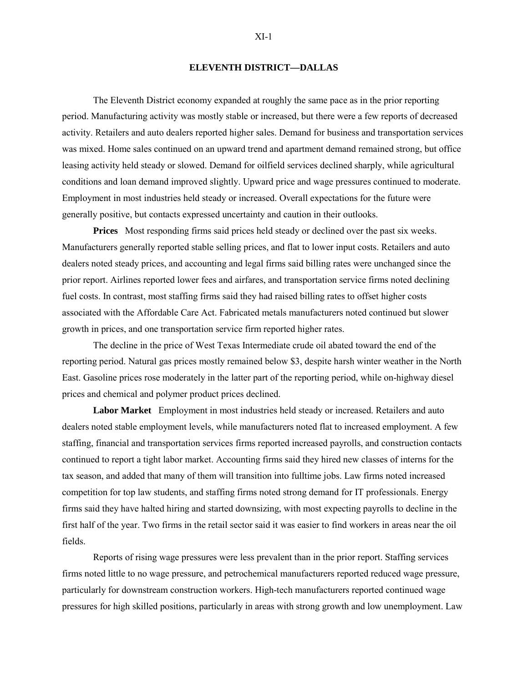#### **ELEVENTH DISTRICT—DALLAS**

 The Eleventh District economy expanded at roughly the same pace as in the prior reporting period. Manufacturing activity was mostly stable or increased, but there were a few reports of decreased activity. Retailers and auto dealers reported higher sales. Demand for business and transportation services was mixed. Home sales continued on an upward trend and apartment demand remained strong, but office leasing activity held steady or slowed. Demand for oilfield services declined sharply, while agricultural conditions and loan demand improved slightly. Upward price and wage pressures continued to moderate. Employment in most industries held steady or increased. Overall expectations for the future were generally positive, but contacts expressed uncertainty and caution in their outlooks.

**Prices** Most responding firms said prices held steady or declined over the past six weeks. Manufacturers generally reported stable selling prices, and flat to lower input costs. Retailers and auto dealers noted steady prices, and accounting and legal firms said billing rates were unchanged since the prior report. Airlines reported lower fees and airfares, and transportation service firms noted declining fuel costs. In contrast, most staffing firms said they had raised billing rates to offset higher costs associated with the Affordable Care Act. Fabricated metals manufacturers noted continued but slower growth in prices, and one transportation service firm reported higher rates.

The decline in the price of West Texas Intermediate crude oil abated toward the end of the reporting period. Natural gas prices mostly remained below \$3, despite harsh winter weather in the North East. Gasoline prices rose moderately in the latter part of the reporting period, while on-highway diesel prices and chemical and polymer product prices declined.

**Labor Market** Employment in most industries held steady or increased. Retailers and auto dealers noted stable employment levels, while manufacturers noted flat to increased employment. A few staffing, financial and transportation services firms reported increased payrolls, and construction contacts continued to report a tight labor market. Accounting firms said they hired new classes of interns for the tax season, and added that many of them will transition into fulltime jobs. Law firms noted increased competition for top law students, and staffing firms noted strong demand for IT professionals. Energy firms said they have halted hiring and started downsizing, with most expecting payrolls to decline in the first half of the year. Two firms in the retail sector said it was easier to find workers in areas near the oil fields.

Reports of rising wage pressures were less prevalent than in the prior report. Staffing services firms noted little to no wage pressure, and petrochemical manufacturers reported reduced wage pressure, particularly for downstream construction workers. High-tech manufacturers reported continued wage pressures for high skilled positions, particularly in areas with strong growth and low unemployment. Law

#### $XI-1$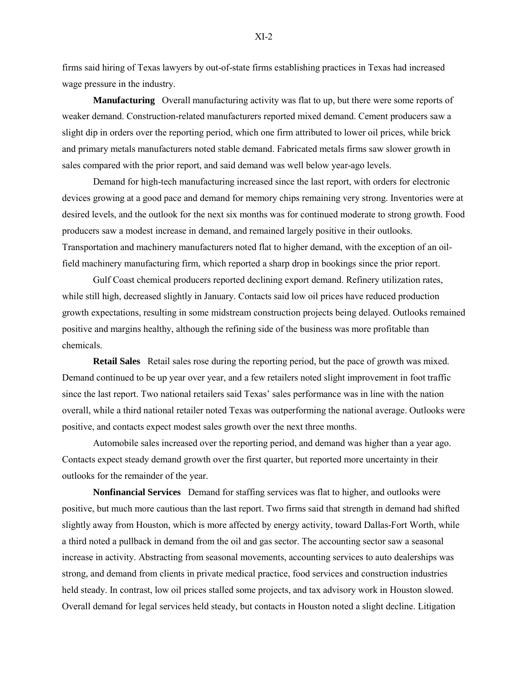firms said hiring of Texas lawyers by out-of-state firms establishing practices in Texas had increased wage pressure in the industry.

**Manufacturing** Overall manufacturing activity was flat to up, but there were some reports of weaker demand. Construction-related manufacturers reported mixed demand. Cement producers saw a slight dip in orders over the reporting period, which one firm attributed to lower oil prices, while brick and primary metals manufacturers noted stable demand. Fabricated metals firms saw slower growth in sales compared with the prior report, and said demand was well below year-ago levels.

Demand for high-tech manufacturing increased since the last report, with orders for electronic devices growing at a good pace and demand for memory chips remaining very strong. Inventories were at desired levels, and the outlook for the next six months was for continued moderate to strong growth. Food producers saw a modest increase in demand, and remained largely positive in their outlooks. Transportation and machinery manufacturers noted flat to higher demand, with the exception of an oilfield machinery manufacturing firm, which reported a sharp drop in bookings since the prior report.

Gulf Coast chemical producers reported declining export demand. Refinery utilization rates, while still high, decreased slightly in January. Contacts said low oil prices have reduced production growth expectations, resulting in some midstream construction projects being delayed. Outlooks remained positive and margins healthy, although the refining side of the business was more profitable than chemicals.

**Retail Sales** Retail sales rose during the reporting period, but the pace of growth was mixed. Demand continued to be up year over year, and a few retailers noted slight improvement in foot traffic since the last report. Two national retailers said Texas' sales performance was in line with the nation overall, while a third national retailer noted Texas was outperforming the national average. Outlooks were positive, and contacts expect modest sales growth over the next three months.

Automobile sales increased over the reporting period, and demand was higher than a year ago. Contacts expect steady demand growth over the first quarter, but reported more uncertainty in their outlooks for the remainder of the year.

**Nonfinancial Services** Demand for staffing services was flat to higher, and outlooks were positive, but much more cautious than the last report. Two firms said that strength in demand had shifted slightly away from Houston, which is more affected by energy activity, toward Dallas-Fort Worth, while a third noted a pullback in demand from the oil and gas sector. The accounting sector saw a seasonal increase in activity. Abstracting from seasonal movements, accounting services to auto dealerships was strong, and demand from clients in private medical practice, food services and construction industries held steady. In contrast, low oil prices stalled some projects, and tax advisory work in Houston slowed. Overall demand for legal services held steady, but contacts in Houston noted a slight decline. Litigation

 $XI-2$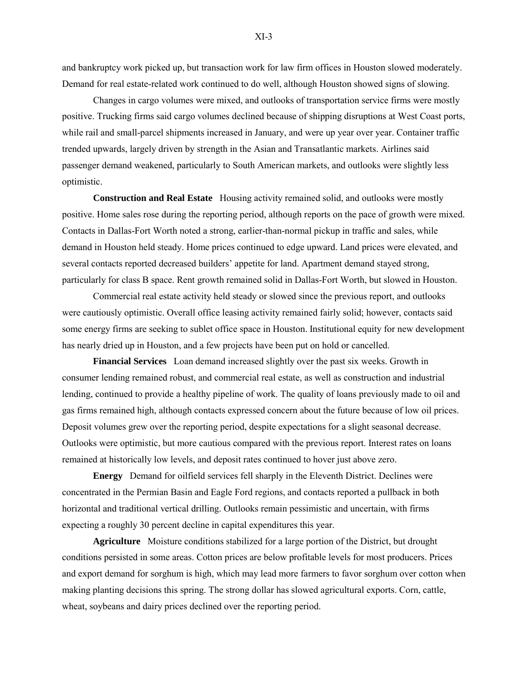and bankruptcy work picked up, but transaction work for law firm offices in Houston slowed moderately. Demand for real estate-related work continued to do well, although Houston showed signs of slowing.

Changes in cargo volumes were mixed, and outlooks of transportation service firms were mostly positive. Trucking firms said cargo volumes declined because of shipping disruptions at West Coast ports, while rail and small-parcel shipments increased in January, and were up year over year. Container traffic trended upwards, largely driven by strength in the Asian and Transatlantic markets. Airlines said passenger demand weakened, particularly to South American markets, and outlooks were slightly less optimistic.

**Construction and Real Estate** Housing activity remained solid, and outlooks were mostly positive. Home sales rose during the reporting period, although reports on the pace of growth were mixed. Contacts in Dallas-Fort Worth noted a strong, earlier-than-normal pickup in traffic and sales, while demand in Houston held steady. Home prices continued to edge upward. Land prices were elevated, and several contacts reported decreased builders' appetite for land. Apartment demand stayed strong, particularly for class B space. Rent growth remained solid in Dallas-Fort Worth, but slowed in Houston.

Commercial real estate activity held steady or slowed since the previous report, and outlooks were cautiously optimistic. Overall office leasing activity remained fairly solid; however, contacts said some energy firms are seeking to sublet office space in Houston. Institutional equity for new development has nearly dried up in Houston, and a few projects have been put on hold or cancelled.

**Financial Services** Loan demand increased slightly over the past six weeks. Growth in consumer lending remained robust, and commercial real estate, as well as construction and industrial lending, continued to provide a healthy pipeline of work. The quality of loans previously made to oil and gas firms remained high, although contacts expressed concern about the future because of low oil prices. Deposit volumes grew over the reporting period, despite expectations for a slight seasonal decrease. Outlooks were optimistic, but more cautious compared with the previous report. Interest rates on loans remained at historically low levels, and deposit rates continued to hover just above zero.

**Energy** Demand for oilfield services fell sharply in the Eleventh District. Declines were concentrated in the Permian Basin and Eagle Ford regions, and contacts reported a pullback in both horizontal and traditional vertical drilling. Outlooks remain pessimistic and uncertain, with firms expecting a roughly 30 percent decline in capital expenditures this year.

**Agriculture** Moisture conditions stabilized for a large portion of the District, but drought conditions persisted in some areas. Cotton prices are below profitable levels for most producers. Prices and export demand for sorghum is high, which may lead more farmers to favor sorghum over cotton when making planting decisions this spring. The strong dollar has slowed agricultural exports. Corn, cattle, wheat, soybeans and dairy prices declined over the reporting period.

 $XI-3$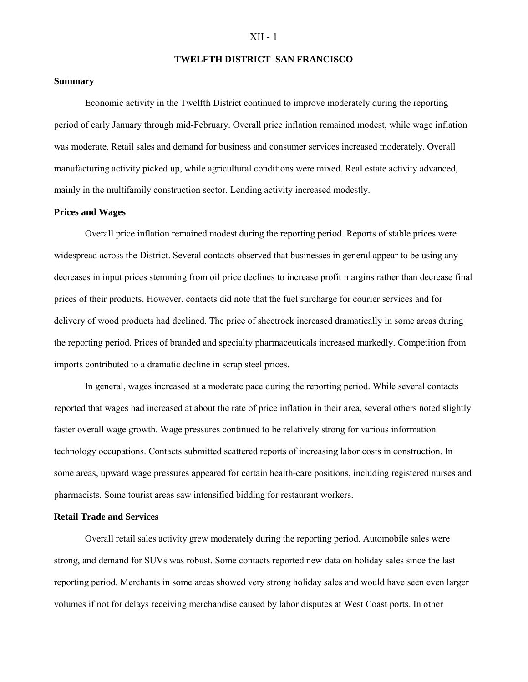#### XII - 1

#### **TWELFTH DISTRICT–SAN FRANCISCO**

#### **Summary**

 Economic activity in the Twelfth District continued to improve moderately during the reporting period of early January through mid-February. Overall price inflation remained modest, while wage inflation was moderate. Retail sales and demand for business and consumer services increased moderately. Overall manufacturing activity picked up, while agricultural conditions were mixed. Real estate activity advanced, mainly in the multifamily construction sector. Lending activity increased modestly.

#### **Prices and Wages**

Overall price inflation remained modest during the reporting period. Reports of stable prices were widespread across the District. Several contacts observed that businesses in general appear to be using any decreases in input prices stemming from oil price declines to increase profit margins rather than decrease final prices of their products. However, contacts did note that the fuel surcharge for courier services and for delivery of wood products had declined. The price of sheetrock increased dramatically in some areas during the reporting period. Prices of branded and specialty pharmaceuticals increased markedly. Competition from imports contributed to a dramatic decline in scrap steel prices.

In general, wages increased at a moderate pace during the reporting period. While several contacts reported that wages had increased at about the rate of price inflation in their area, several others noted slightly faster overall wage growth. Wage pressures continued to be relatively strong for various information technology occupations. Contacts submitted scattered reports of increasing labor costs in construction. In some areas, upward wage pressures appeared for certain health-care positions, including registered nurses and pharmacists. Some tourist areas saw intensified bidding for restaurant workers.

## **Retail Trade and Services**

Overall retail sales activity grew moderately during the reporting period. Automobile sales were strong, and demand for SUVs was robust. Some contacts reported new data on holiday sales since the last reporting period. Merchants in some areas showed very strong holiday sales and would have seen even larger volumes if not for delays receiving merchandise caused by labor disputes at West Coast ports. In other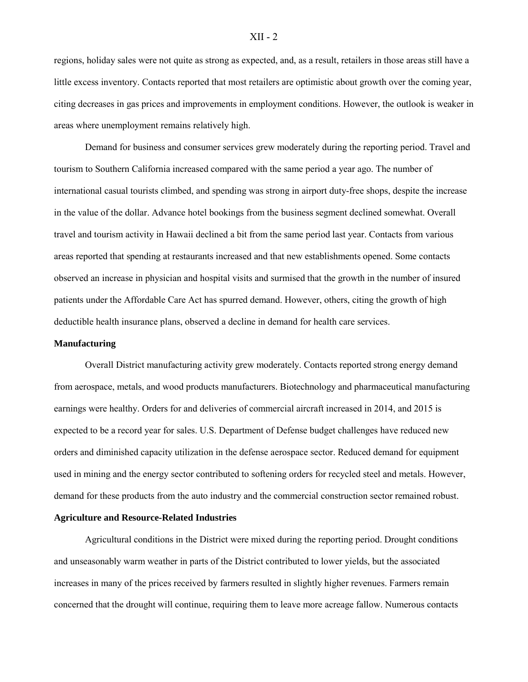regions, holiday sales were not quite as strong as expected, and, as a result, retailers in those areas still have a little excess inventory. Contacts reported that most retailers are optimistic about growth over the coming year, citing decreases in gas prices and improvements in employment conditions. However, the outlook is weaker in areas where unemployment remains relatively high.

Demand for business and consumer services grew moderately during the reporting period. Travel and tourism to Southern California increased compared with the same period a year ago. The number of international casual tourists climbed, and spending was strong in airport duty-free shops, despite the increase in the value of the dollar. Advance hotel bookings from the business segment declined somewhat. Overall travel and tourism activity in Hawaii declined a bit from the same period last year. Contacts from various areas reported that spending at restaurants increased and that new establishments opened. Some contacts observed an increase in physician and hospital visits and surmised that the growth in the number of insured patients under the Affordable Care Act has spurred demand. However, others, citing the growth of high deductible health insurance plans, observed a decline in demand for health care services.

#### **Manufacturing**

Overall District manufacturing activity grew moderately. Contacts reported strong energy demand from aerospace, metals, and wood products manufacturers. Biotechnology and pharmaceutical manufacturing earnings were healthy. Orders for and deliveries of commercial aircraft increased in 2014, and 2015 is expected to be a record year for sales. U.S. Department of Defense budget challenges have reduced new orders and diminished capacity utilization in the defense aerospace sector. Reduced demand for equipment used in mining and the energy sector contributed to softening orders for recycled steel and metals. However, demand for these products from the auto industry and the commercial construction sector remained robust.

#### **Agriculture and Resource-Related Industries**

Agricultural conditions in the District were mixed during the reporting period. Drought conditions and unseasonably warm weather in parts of the District contributed to lower yields, but the associated increases in many of the prices received by farmers resulted in slightly higher revenues. Farmers remain concerned that the drought will continue, requiring them to leave more acreage fallow. Numerous contacts

#### XII - 2